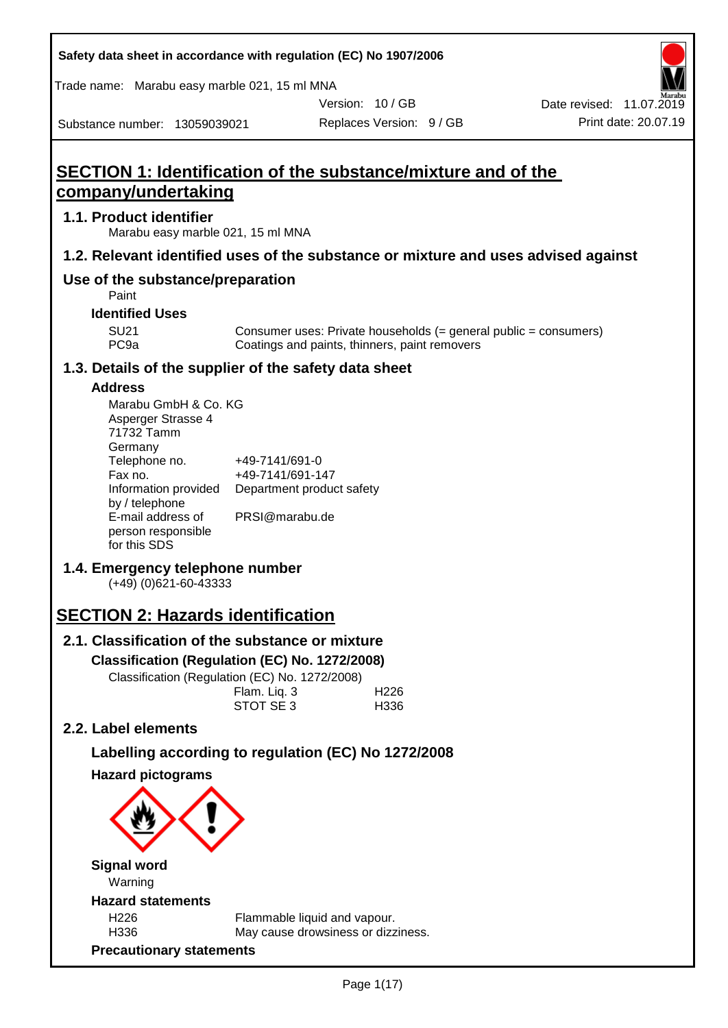| Trade name: Marabu easy marble 021, 15 ml MNA                                                                |                                                                            |                                                                                                                   | VI.<br>Marabu                                                                      |
|--------------------------------------------------------------------------------------------------------------|----------------------------------------------------------------------------|-------------------------------------------------------------------------------------------------------------------|------------------------------------------------------------------------------------|
|                                                                                                              |                                                                            | Version: 10/GB                                                                                                    | Date revised: 11.07.2019                                                           |
| Substance number: 13059039021                                                                                |                                                                            | Replaces Version: 9 / GB                                                                                          | Print date: 20.07.19                                                               |
| SECTION 1: Identification of the substance/mixture and of the<br>company/undertaking                         |                                                                            |                                                                                                                   |                                                                                    |
| 1.1. Product identifier                                                                                      | Marabu easy marble 021, 15 ml MNA                                          |                                                                                                                   |                                                                                    |
|                                                                                                              |                                                                            |                                                                                                                   | 1.2. Relevant identified uses of the substance or mixture and uses advised against |
| Use of the substance/preparation<br>Paint                                                                    |                                                                            |                                                                                                                   |                                                                                    |
| <b>Identified Uses</b><br><b>SU21</b><br>PC <sub>9a</sub>                                                    |                                                                            | Consumer uses: Private households (= general public = consumers)<br>Coatings and paints, thinners, paint removers |                                                                                    |
| 1.3. Details of the supplier of the safety data sheet                                                        |                                                                            |                                                                                                                   |                                                                                    |
| <b>Address</b><br>Marabu GmbH & Co. KG<br>Asperger Strasse 4<br>71732 Tamm<br>Germany<br>Telephone no.       | +49-7141/691-0                                                             |                                                                                                                   |                                                                                    |
| Fax no.<br>Information provided<br>by / telephone<br>E-mail address of<br>person responsible<br>for this SDS | +49-7141/691-147<br>PRSI@marabu.de                                         | Department product safety                                                                                         |                                                                                    |
| 1.4. Emergency telephone number<br>$(+49)$ (0)621-60-43333                                                   |                                                                            |                                                                                                                   |                                                                                    |
| <b>SECTION 2: Hazards identification</b>                                                                     |                                                                            |                                                                                                                   |                                                                                    |
| 2.1. Classification of the substance or mixture                                                              |                                                                            |                                                                                                                   |                                                                                    |
| Classification (Regulation (EC) No. 1272/2008)                                                               | Classification (Regulation (EC) No. 1272/2008)<br>Flam. Liq. 3<br>STOT SE3 | H <sub>226</sub><br>H336                                                                                          |                                                                                    |
| 2.2. Label elements                                                                                          |                                                                            |                                                                                                                   |                                                                                    |
|                                                                                                              |                                                                            | Labelling according to regulation (EC) No 1272/2008                                                               |                                                                                    |
| <b>Hazard pictograms</b>                                                                                     |                                                                            |                                                                                                                   |                                                                                    |
| <b>Signal word</b><br>Warning                                                                                |                                                                            |                                                                                                                   |                                                                                    |
| <b>Hazard statements</b>                                                                                     |                                                                            |                                                                                                                   |                                                                                    |
| H <sub>226</sub><br>H336                                                                                     |                                                                            | Flammable liquid and vapour.<br>May cause drowsiness or dizziness.                                                |                                                                                    |

**Precautionary statements**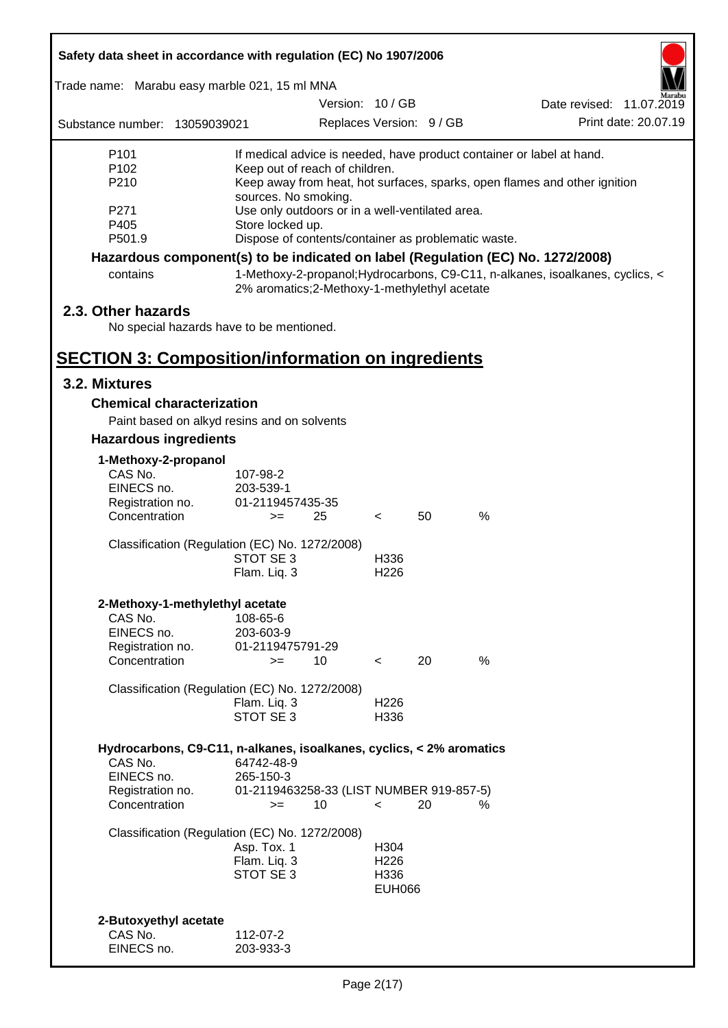| Safety data sheet in accordance with regulation (EC) No 1907/2006 |                                                                                    |                          |    |                                                                                 |  |  |  |
|-------------------------------------------------------------------|------------------------------------------------------------------------------------|--------------------------|----|---------------------------------------------------------------------------------|--|--|--|
| Trade name: Marabu easy marble 021, 15 ml MNA                     |                                                                                    |                          |    |                                                                                 |  |  |  |
|                                                                   |                                                                                    | Version: 10/GB           |    | Date revised: 11.07.2019                                                        |  |  |  |
| Substance number: 13059039021                                     |                                                                                    | Replaces Version: 9 / GB |    | Print date: 20.07.19                                                            |  |  |  |
| P <sub>101</sub>                                                  |                                                                                    |                          |    | If medical advice is needed, have product container or label at hand.           |  |  |  |
| P <sub>102</sub>                                                  | Keep out of reach of children.                                                     |                          |    |                                                                                 |  |  |  |
| P210                                                              | sources. No smoking.                                                               |                          |    | Keep away from heat, hot surfaces, sparks, open flames and other ignition       |  |  |  |
| P271                                                              | Use only outdoors or in a well-ventilated area.                                    |                          |    |                                                                                 |  |  |  |
| P405                                                              | Store locked up.                                                                   |                          |    |                                                                                 |  |  |  |
| P501.9                                                            | Dispose of contents/container as problematic waste.                                |                          |    |                                                                                 |  |  |  |
|                                                                   |                                                                                    |                          |    | Hazardous component(s) to be indicated on label (Regulation (EC) No. 1272/2008) |  |  |  |
| contains                                                          | 2% aromatics; 2-Methoxy-1-methylethyl acetate                                      |                          |    | 1-Methoxy-2-propanol; Hydrocarbons, C9-C11, n-alkanes, isoalkanes, cyclics, <   |  |  |  |
| 2.3. Other hazards                                                |                                                                                    |                          |    |                                                                                 |  |  |  |
| No special hazards have to be mentioned.                          |                                                                                    |                          |    |                                                                                 |  |  |  |
|                                                                   |                                                                                    |                          |    |                                                                                 |  |  |  |
| <b>SECTION 3: Composition/information on ingredients</b>          |                                                                                    |                          |    |                                                                                 |  |  |  |
| 3.2. Mixtures                                                     |                                                                                    |                          |    |                                                                                 |  |  |  |
| <b>Chemical characterization</b>                                  |                                                                                    |                          |    |                                                                                 |  |  |  |
|                                                                   | Paint based on alkyd resins and on solvents                                        |                          |    |                                                                                 |  |  |  |
| <b>Hazardous ingredients</b>                                      |                                                                                    |                          |    |                                                                                 |  |  |  |
| 1-Methoxy-2-propanol                                              |                                                                                    |                          |    |                                                                                 |  |  |  |
| CAS No.                                                           | 107-98-2                                                                           |                          |    |                                                                                 |  |  |  |
| EINECS no.                                                        | 203-539-1                                                                          |                          |    |                                                                                 |  |  |  |
| Registration no.<br>Concentration                                 | 01-2119457435-35<br>25<br>$>=$                                                     | $\overline{\phantom{a}}$ | 50 | %                                                                               |  |  |  |
|                                                                   |                                                                                    |                          |    |                                                                                 |  |  |  |
|                                                                   | Classification (Regulation (EC) No. 1272/2008)                                     |                          |    |                                                                                 |  |  |  |
|                                                                   | STOT SE 3                                                                          | H336                     |    |                                                                                 |  |  |  |
|                                                                   | Flam. Liq. 3                                                                       | H <sub>226</sub>         |    |                                                                                 |  |  |  |
| 2-Methoxy-1-methylethyl acetate                                   |                                                                                    |                          |    |                                                                                 |  |  |  |
| CAS No.                                                           | 108-65-6                                                                           |                          |    |                                                                                 |  |  |  |
| EINECS no.                                                        | 203-603-9                                                                          |                          |    |                                                                                 |  |  |  |
| Registration no.<br>Concentration                                 | 01-2119475791-29<br>10<br>$>=$                                                     | $\overline{\phantom{a}}$ | 20 | %                                                                               |  |  |  |
|                                                                   |                                                                                    |                          |    |                                                                                 |  |  |  |
|                                                                   | Classification (Regulation (EC) No. 1272/2008)                                     |                          |    |                                                                                 |  |  |  |
|                                                                   | Flam. Liq. 3                                                                       | H <sub>226</sub>         |    |                                                                                 |  |  |  |
|                                                                   | STOT SE 3                                                                          | H336                     |    |                                                                                 |  |  |  |
|                                                                   |                                                                                    |                          |    |                                                                                 |  |  |  |
| CAS No.                                                           | Hydrocarbons, C9-C11, n-alkanes, isoalkanes, cyclics, < 2% aromatics<br>64742-48-9 |                          |    |                                                                                 |  |  |  |
| EINECS no.                                                        | 265-150-3                                                                          |                          |    |                                                                                 |  |  |  |
| Registration no.                                                  | 01-2119463258-33 (LIST NUMBER 919-857-5)                                           |                          |    |                                                                                 |  |  |  |
| Concentration                                                     | 10<br>$>=$                                                                         | $\,<\,$                  | 20 | %                                                                               |  |  |  |
|                                                                   | Classification (Regulation (EC) No. 1272/2008)                                     |                          |    |                                                                                 |  |  |  |
|                                                                   | Asp. Tox. 1                                                                        | H304                     |    |                                                                                 |  |  |  |
|                                                                   | Flam. Liq. 3                                                                       | H <sub>226</sub>         |    |                                                                                 |  |  |  |
|                                                                   | STOT SE 3                                                                          | H336                     |    |                                                                                 |  |  |  |
|                                                                   |                                                                                    | <b>EUH066</b>            |    |                                                                                 |  |  |  |
|                                                                   |                                                                                    |                          |    |                                                                                 |  |  |  |
| 2-Butoxyethyl acetate<br>CAS No.                                  | 112-07-2                                                                           |                          |    |                                                                                 |  |  |  |
| EINECS no.                                                        | 203-933-3                                                                          |                          |    |                                                                                 |  |  |  |
|                                                                   |                                                                                    |                          |    |                                                                                 |  |  |  |

ī

Г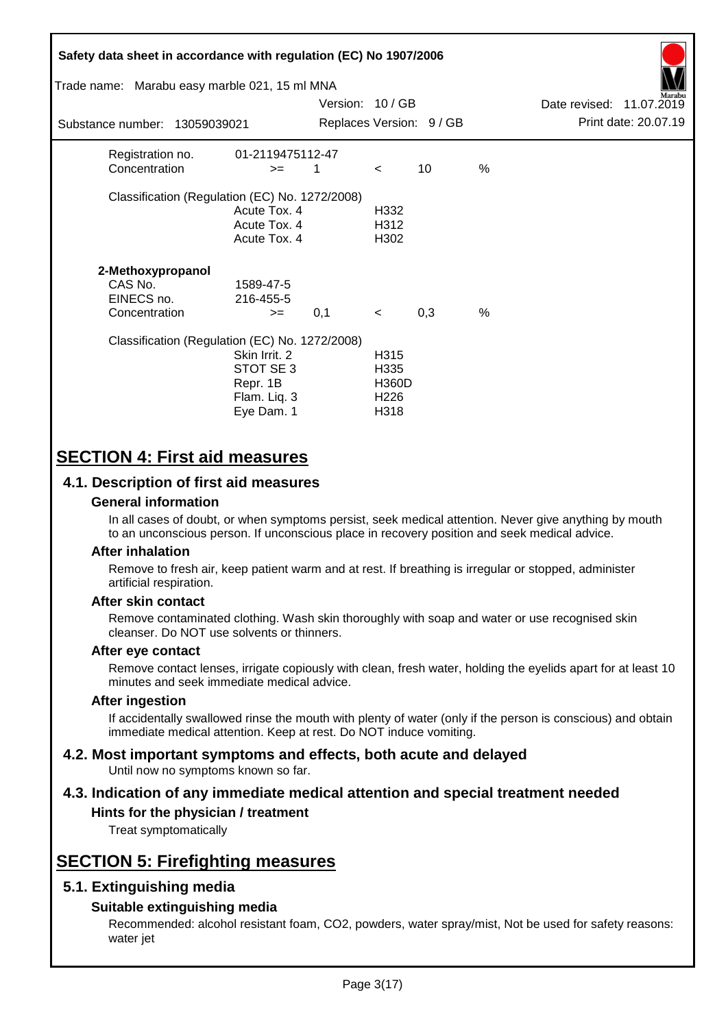| Safety data sheet in accordance with regulation (EC) No 1907/2006<br>Trade name: Marabu easy marble 021, 15 ml MNA<br>Substance number: 13059039021 |                                                                      | Version: 10/GB |                                                                      | Replaces Version: 9 / GB |               | Date revised: 11.07.2019 | Aarabu<br>Print date: 20.07.19 |
|-----------------------------------------------------------------------------------------------------------------------------------------------------|----------------------------------------------------------------------|----------------|----------------------------------------------------------------------|--------------------------|---------------|--------------------------|--------------------------------|
|                                                                                                                                                     |                                                                      |                |                                                                      |                          |               |                          |                                |
| Registration no.<br>Concentration                                                                                                                   | 01-2119475112-47<br>$>=$                                             | 1              | $\prec$                                                              | 10                       | %             |                          |                                |
| Classification (Regulation (EC) No. 1272/2008)                                                                                                      | Acute Tox. 4<br>Acute Tox. 4<br>Acute Tox. 4                         |                | H332<br>H312<br>H302                                                 |                          |               |                          |                                |
| 2-Methoxypropanol<br>CAS No.<br>EINECS no.<br>Concentration                                                                                         | 1589-47-5<br>216-455-5<br>$>=$                                       | 0,1            | $\prec$                                                              | 0,3                      | $\frac{0}{0}$ |                          |                                |
| Classification (Regulation (EC) No. 1272/2008)                                                                                                      | Skin Irrit. 2<br>STOT SE 3<br>Repr. 1B<br>Flam. Liq. 3<br>Eye Dam. 1 |                | H <sub>315</sub><br>H335<br><b>H360D</b><br>H <sub>226</sub><br>H318 |                          |               |                          |                                |

# **SECTION 4: First aid measures**

## **4.1. Description of first aid measures**

### **General information**

In all cases of doubt, or when symptoms persist, seek medical attention. Never give anything by mouth to an unconscious person. If unconscious place in recovery position and seek medical advice.

### **After inhalation**

Remove to fresh air, keep patient warm and at rest. If breathing is irregular or stopped, administer artificial respiration.

### **After skin contact**

Remove contaminated clothing. Wash skin thoroughly with soap and water or use recognised skin cleanser. Do NOT use solvents or thinners.

### **After eye contact**

Remove contact lenses, irrigate copiously with clean, fresh water, holding the eyelids apart for at least 10 minutes and seek immediate medical advice.

### **After ingestion**

If accidentally swallowed rinse the mouth with plenty of water (only if the person is conscious) and obtain immediate medical attention. Keep at rest. Do NOT induce vomiting.

#### **4.2. Most important symptoms and effects, both acute and delayed** Until now no symptoms known so far.

# **4.3. Indication of any immediate medical attention and special treatment needed**

# **Hints for the physician / treatment**

Treat symptomatically

# **SECTION 5: Firefighting measures**

## **5.1. Extinguishing media**

### **Suitable extinguishing media**

Recommended: alcohol resistant foam, CO2, powders, water spray/mist, Not be used for safety reasons: water jet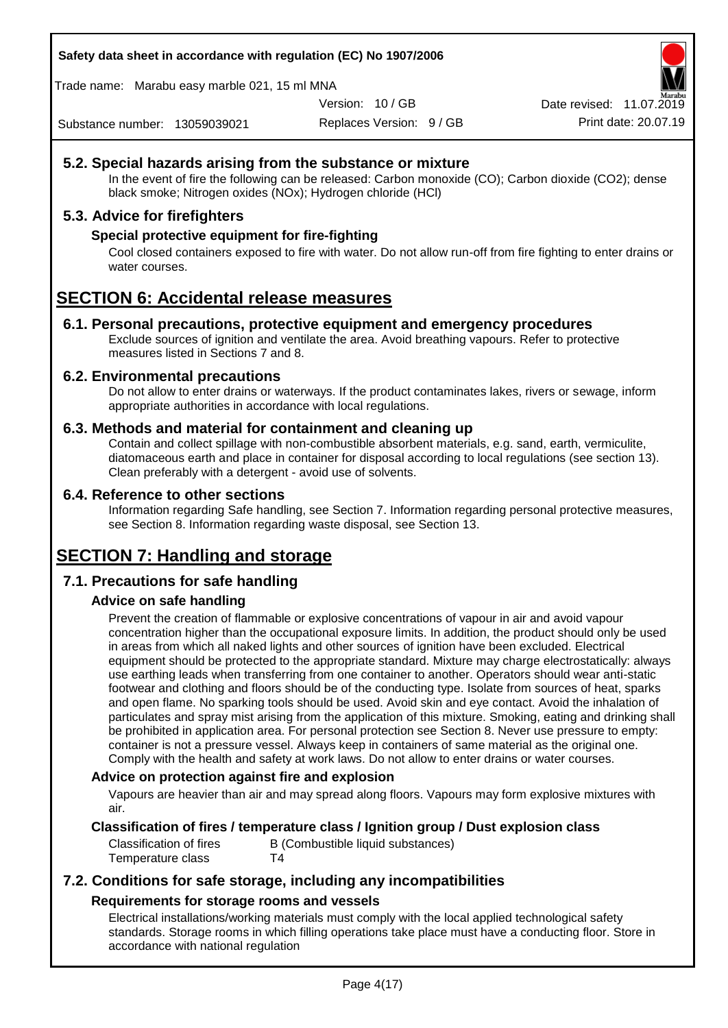Trade name: Marabu easy marble 021, 15 ml MNA

Version: 10 / GB

Replaces Version: 9 / GB Print date: 20.07.19 Date revised: 11.07.2019

Substance number: 13059039021

# **5.2. Special hazards arising from the substance or mixture**

In the event of fire the following can be released: Carbon monoxide (CO); Carbon dioxide (CO2); dense black smoke; Nitrogen oxides (NOx); Hydrogen chloride (HCl)

## **5.3. Advice for firefighters**

## **Special protective equipment for fire-fighting**

Cool closed containers exposed to fire with water. Do not allow run-off from fire fighting to enter drains or water courses.

# **SECTION 6: Accidental release measures**

### **6.1. Personal precautions, protective equipment and emergency procedures**

Exclude sources of ignition and ventilate the area. Avoid breathing vapours. Refer to protective measures listed in Sections 7 and 8.

### **6.2. Environmental precautions**

Do not allow to enter drains or waterways. If the product contaminates lakes, rivers or sewage, inform appropriate authorities in accordance with local regulations.

### **6.3. Methods and material for containment and cleaning up**

Contain and collect spillage with non-combustible absorbent materials, e.g. sand, earth, vermiculite, diatomaceous earth and place in container for disposal according to local regulations (see section 13). Clean preferably with a detergent - avoid use of solvents.

### **6.4. Reference to other sections**

Information regarding Safe handling, see Section 7. Information regarding personal protective measures, see Section 8. Information regarding waste disposal, see Section 13.

# **SECTION 7: Handling and storage**

## **7.1. Precautions for safe handling**

## **Advice on safe handling**

Prevent the creation of flammable or explosive concentrations of vapour in air and avoid vapour concentration higher than the occupational exposure limits. In addition, the product should only be used in areas from which all naked lights and other sources of ignition have been excluded. Electrical equipment should be protected to the appropriate standard. Mixture may charge electrostatically: always use earthing leads when transferring from one container to another. Operators should wear anti-static footwear and clothing and floors should be of the conducting type. Isolate from sources of heat, sparks and open flame. No sparking tools should be used. Avoid skin and eye contact. Avoid the inhalation of particulates and spray mist arising from the application of this mixture. Smoking, eating and drinking shall be prohibited in application area. For personal protection see Section 8. Never use pressure to empty: container is not a pressure vessel. Always keep in containers of same material as the original one. Comply with the health and safety at work laws. Do not allow to enter drains or water courses.

### **Advice on protection against fire and explosion**

Vapours are heavier than air and may spread along floors. Vapours may form explosive mixtures with air.

## **Classification of fires / temperature class / Ignition group / Dust explosion class**

Classification of fires B (Combustible liquid substances) Temperature class T4

# **7.2. Conditions for safe storage, including any incompatibilities Requirements for storage rooms and vessels**

Electrical installations/working materials must comply with the local applied technological safety standards. Storage rooms in which filling operations take place must have a conducting floor. Store in accordance with national regulation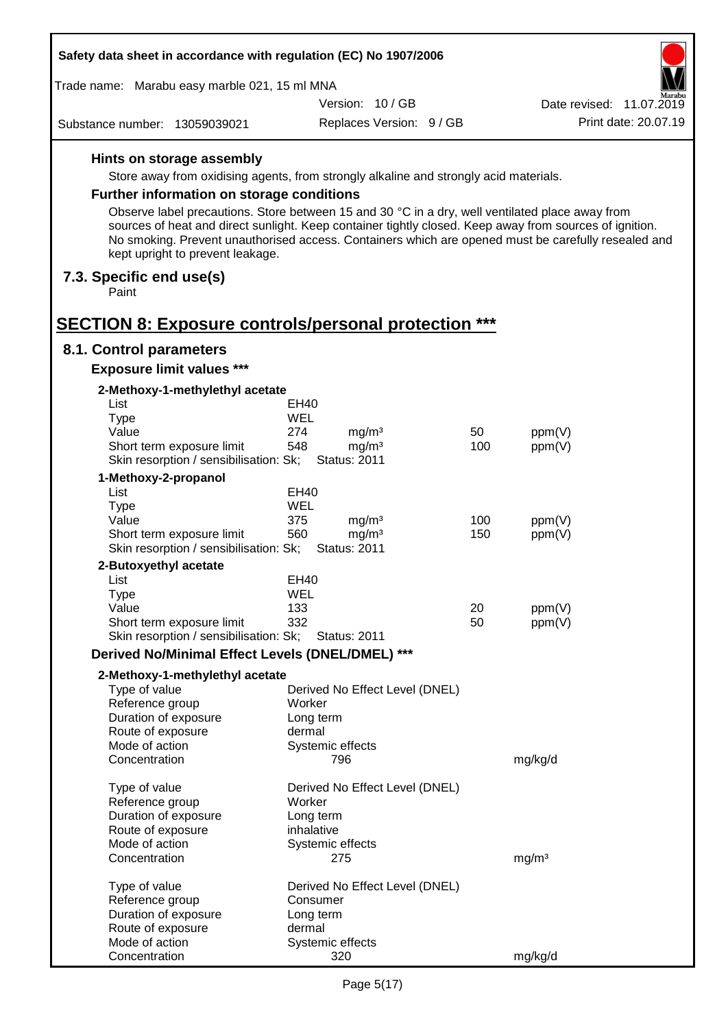| Safety data sheet in accordance with regulation (EC) No 1907/2006                     |                    |                                |     |                                                                                                                                                                                                                |  |
|---------------------------------------------------------------------------------------|--------------------|--------------------------------|-----|----------------------------------------------------------------------------------------------------------------------------------------------------------------------------------------------------------------|--|
| Trade name: Marabu easy marble 021, 15 ml MNA                                         |                    |                                |     |                                                                                                                                                                                                                |  |
|                                                                                       |                    | Version: 10/GB                 |     | Date revised: 11.07.2019                                                                                                                                                                                       |  |
| Substance number: 13059039021                                                         |                    | Replaces Version: 9 / GB       |     | Print date: 20.07.19                                                                                                                                                                                           |  |
| Hints on storage assembly                                                             |                    |                                |     |                                                                                                                                                                                                                |  |
| Store away from oxidising agents, from strongly alkaline and strongly acid materials. |                    |                                |     |                                                                                                                                                                                                                |  |
| <b>Further information on storage conditions</b>                                      |                    |                                |     |                                                                                                                                                                                                                |  |
|                                                                                       |                    |                                |     | Observe label precautions. Store between 15 and 30 °C in a dry, well ventilated place away from                                                                                                                |  |
| kept upright to prevent leakage.                                                      |                    |                                |     | sources of heat and direct sunlight. Keep container tightly closed. Keep away from sources of ignition.<br>No smoking. Prevent unauthorised access. Containers which are opened must be carefully resealed and |  |
| 7.3. Specific end use(s)<br>Paint                                                     |                    |                                |     |                                                                                                                                                                                                                |  |
|                                                                                       |                    |                                |     |                                                                                                                                                                                                                |  |
| <b>SECTION 8: Exposure controls/personal protection ***</b>                           |                    |                                |     |                                                                                                                                                                                                                |  |
| 8.1. Control parameters<br><b>Exposure limit values ***</b>                           |                    |                                |     |                                                                                                                                                                                                                |  |
| 2-Methoxy-1-methylethyl acetate                                                       |                    |                                |     |                                                                                                                                                                                                                |  |
| List                                                                                  | EH40               |                                |     |                                                                                                                                                                                                                |  |
| <b>Type</b>                                                                           | <b>WEL</b>         |                                |     |                                                                                                                                                                                                                |  |
| Value                                                                                 | 274                | mg/m <sup>3</sup>              | 50  | ppm(V)                                                                                                                                                                                                         |  |
| Short term exposure limit                                                             | 548                | mg/m <sup>3</sup>              | 100 | ppm(V)                                                                                                                                                                                                         |  |
| Skin resorption / sensibilisation: Sk;                                                |                    | <b>Status: 2011</b>            |     |                                                                                                                                                                                                                |  |
| 1-Methoxy-2-propanol                                                                  |                    |                                |     |                                                                                                                                                                                                                |  |
| List                                                                                  | EH40<br><b>WEL</b> |                                |     |                                                                                                                                                                                                                |  |
| <b>Type</b><br>Value                                                                  | 375                | mg/m <sup>3</sup>              | 100 | ppm(V)                                                                                                                                                                                                         |  |
| Short term exposure limit                                                             | 560                | mg/m <sup>3</sup>              | 150 | ppm(V)                                                                                                                                                                                                         |  |
| Skin resorption / sensibilisation: Sk;                                                |                    | <b>Status: 2011</b>            |     |                                                                                                                                                                                                                |  |
| 2-Butoxyethyl acetate                                                                 |                    |                                |     |                                                                                                                                                                                                                |  |
| List                                                                                  | EH40               |                                |     |                                                                                                                                                                                                                |  |
| Type                                                                                  | WEL                |                                |     |                                                                                                                                                                                                                |  |
| Value                                                                                 | 133                |                                | 20  | ppm(V)                                                                                                                                                                                                         |  |
| Short term exposure limit<br>Skin resorption / sensibilisation: Sk;                   | 332                | <b>Status: 2011</b>            | 50  | ppm(V)                                                                                                                                                                                                         |  |
| Derived No/Minimal Effect Levels (DNEL/DMEL) ***                                      |                    |                                |     |                                                                                                                                                                                                                |  |
|                                                                                       |                    |                                |     |                                                                                                                                                                                                                |  |
| 2-Methoxy-1-methylethyl acetate<br>Type of value                                      |                    | Derived No Effect Level (DNEL) |     |                                                                                                                                                                                                                |  |
| Reference group                                                                       | Worker             |                                |     |                                                                                                                                                                                                                |  |
| Duration of exposure                                                                  | Long term          |                                |     |                                                                                                                                                                                                                |  |
| Route of exposure                                                                     | dermal             |                                |     |                                                                                                                                                                                                                |  |
| Mode of action                                                                        |                    | Systemic effects               |     |                                                                                                                                                                                                                |  |
| Concentration                                                                         |                    | 796                            |     | mg/kg/d                                                                                                                                                                                                        |  |
| Type of value                                                                         |                    | Derived No Effect Level (DNEL) |     |                                                                                                                                                                                                                |  |
| Reference group                                                                       | Worker             |                                |     |                                                                                                                                                                                                                |  |
| Duration of exposure                                                                  | Long term          |                                |     |                                                                                                                                                                                                                |  |
| Route of exposure                                                                     | inhalative         |                                |     |                                                                                                                                                                                                                |  |
| Mode of action                                                                        |                    | Systemic effects               |     |                                                                                                                                                                                                                |  |
| Concentration                                                                         |                    | 275                            |     | mg/m <sup>3</sup>                                                                                                                                                                                              |  |
| Type of value                                                                         |                    | Derived No Effect Level (DNEL) |     |                                                                                                                                                                                                                |  |
| Reference group                                                                       | Consumer           |                                |     |                                                                                                                                                                                                                |  |
| Duration of exposure                                                                  | Long term          |                                |     |                                                                                                                                                                                                                |  |
| Route of exposure                                                                     | dermal             |                                |     |                                                                                                                                                                                                                |  |
| Mode of action                                                                        |                    | Systemic effects               |     |                                                                                                                                                                                                                |  |
| Concentration                                                                         |                    | 320                            |     | mg/kg/d                                                                                                                                                                                                        |  |

 $\mathsf{r}$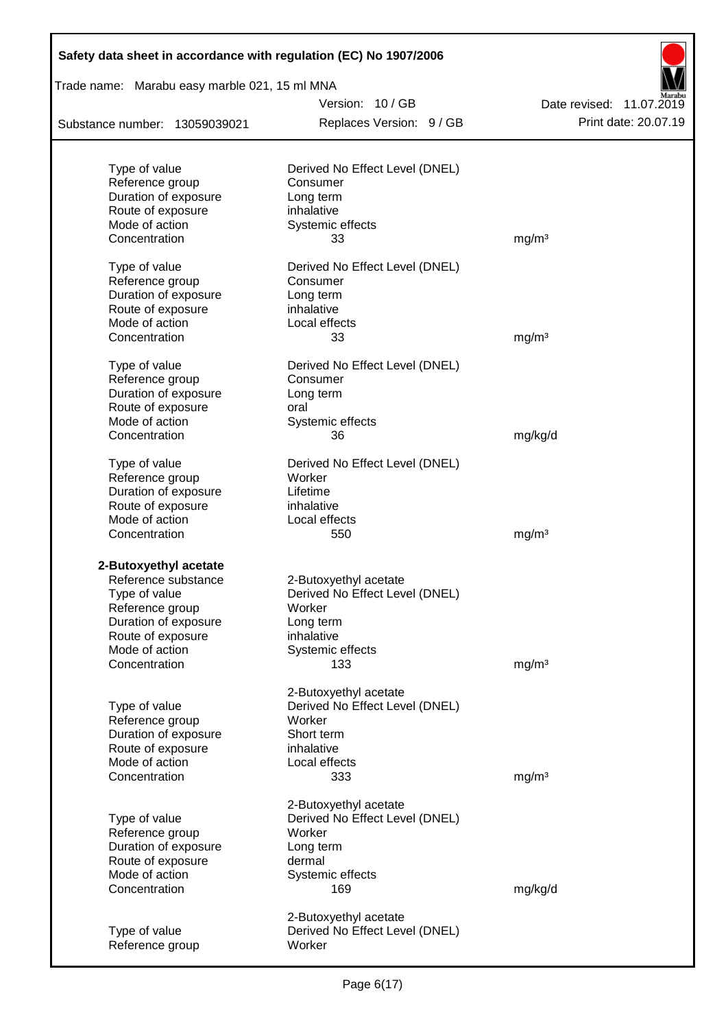| Safety data sheet in accordance with regulation (EC) No 1907/2006<br>Trade name: Marabu easy marble 021, 15 ml MNA |                                |                          |  |  |
|--------------------------------------------------------------------------------------------------------------------|--------------------------------|--------------------------|--|--|
|                                                                                                                    | Version: 10/GB                 | Date revised: 11.07.2019 |  |  |
| Substance number: 13059039021                                                                                      | Replaces Version: 9 / GB       | Print date: 20.07.19     |  |  |
|                                                                                                                    |                                |                          |  |  |
| Type of value                                                                                                      | Derived No Effect Level (DNEL) |                          |  |  |
| Reference group                                                                                                    | Consumer                       |                          |  |  |
| Duration of exposure                                                                                               | Long term                      |                          |  |  |
| Route of exposure                                                                                                  | inhalative                     |                          |  |  |
| Mode of action                                                                                                     | Systemic effects               |                          |  |  |
| Concentration                                                                                                      | 33                             | mg/m <sup>3</sup>        |  |  |
| Type of value                                                                                                      | Derived No Effect Level (DNEL) |                          |  |  |
| Reference group                                                                                                    | Consumer                       |                          |  |  |
| Duration of exposure                                                                                               | Long term                      |                          |  |  |
| Route of exposure                                                                                                  | inhalative                     |                          |  |  |
| Mode of action                                                                                                     | Local effects                  |                          |  |  |
| Concentration                                                                                                      | 33                             | mg/m <sup>3</sup>        |  |  |
| Type of value                                                                                                      | Derived No Effect Level (DNEL) |                          |  |  |
| Reference group                                                                                                    | Consumer                       |                          |  |  |
| Duration of exposure                                                                                               | Long term                      |                          |  |  |
| Route of exposure                                                                                                  | oral                           |                          |  |  |
| Mode of action                                                                                                     | Systemic effects               |                          |  |  |
| Concentration                                                                                                      | 36                             | mg/kg/d                  |  |  |
| Type of value                                                                                                      | Derived No Effect Level (DNEL) |                          |  |  |
| Reference group                                                                                                    | Worker                         |                          |  |  |
| Duration of exposure                                                                                               | Lifetime                       |                          |  |  |
| Route of exposure                                                                                                  | inhalative                     |                          |  |  |
| Mode of action                                                                                                     | Local effects                  |                          |  |  |
| Concentration                                                                                                      | 550                            | mg/m <sup>3</sup>        |  |  |
| 2-Butoxyethyl acetate                                                                                              |                                |                          |  |  |
| Reference substance                                                                                                | 2-Butoxyethyl acetate          |                          |  |  |
| Type of value                                                                                                      | Derived No Effect Level (DNEL) |                          |  |  |
| Reference group                                                                                                    | Worker                         |                          |  |  |
| Duration of exposure                                                                                               | Long term                      |                          |  |  |
| Route of exposure                                                                                                  | inhalative                     |                          |  |  |
| Mode of action                                                                                                     | Systemic effects               |                          |  |  |
| Concentration                                                                                                      | 133                            | mg/m <sup>3</sup>        |  |  |
|                                                                                                                    | 2-Butoxyethyl acetate          |                          |  |  |
| Type of value                                                                                                      | Derived No Effect Level (DNEL) |                          |  |  |
| Reference group                                                                                                    | Worker                         |                          |  |  |
| Duration of exposure                                                                                               | Short term                     |                          |  |  |
| Route of exposure                                                                                                  | inhalative                     |                          |  |  |
| Mode of action                                                                                                     | Local effects                  |                          |  |  |
| Concentration                                                                                                      | 333                            | mg/m <sup>3</sup>        |  |  |
|                                                                                                                    | 2-Butoxyethyl acetate          |                          |  |  |
| Type of value                                                                                                      | Derived No Effect Level (DNEL) |                          |  |  |
| Reference group                                                                                                    | Worker                         |                          |  |  |
| Duration of exposure                                                                                               | Long term                      |                          |  |  |
| Route of exposure                                                                                                  | dermal                         |                          |  |  |
| Mode of action                                                                                                     | Systemic effects               |                          |  |  |
| Concentration                                                                                                      | 169                            | mg/kg/d                  |  |  |
|                                                                                                                    | 2-Butoxyethyl acetate          |                          |  |  |
| Type of value                                                                                                      | Derived No Effect Level (DNEL) |                          |  |  |
| Reference group                                                                                                    | Worker                         |                          |  |  |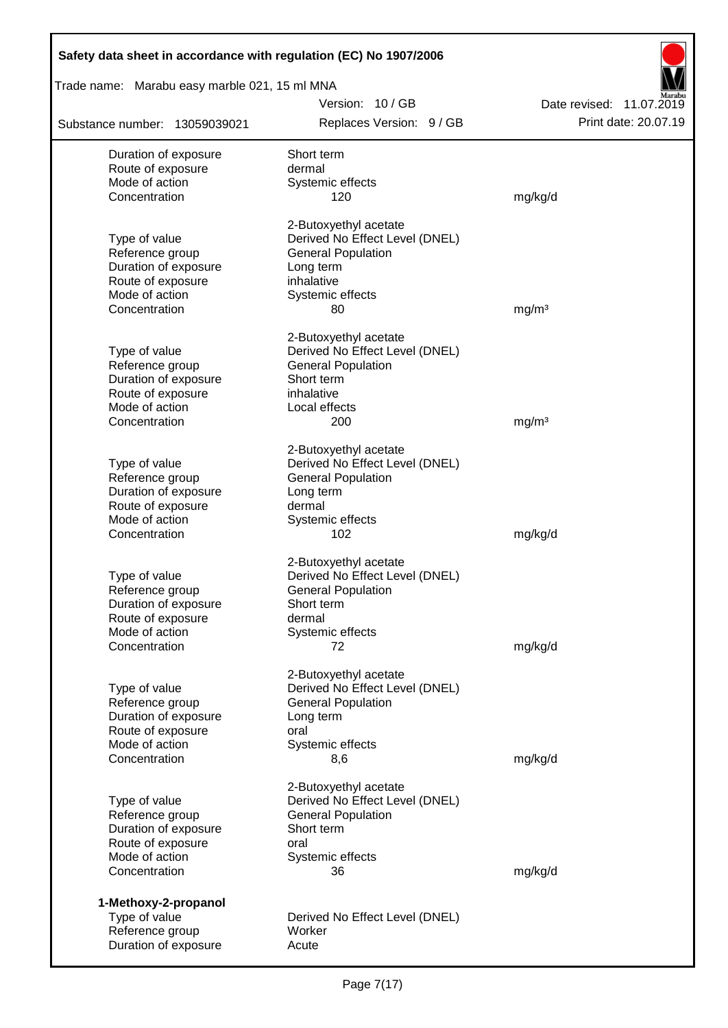| Safety data sheet in accordance with regulation (EC) No 1907/2006 |                                                         |                          |  |  |  |  |
|-------------------------------------------------------------------|---------------------------------------------------------|--------------------------|--|--|--|--|
| Trade name: Marabu easy marble 021, 15 ml MNA                     |                                                         |                          |  |  |  |  |
|                                                                   | Version: 10/GB                                          | Date revised: 11.07.2019 |  |  |  |  |
| Substance number: 13059039021                                     | Replaces Version: 9 / GB                                | Print date: 20.07.19     |  |  |  |  |
| Duration of exposure                                              | Short term                                              |                          |  |  |  |  |
| Route of exposure                                                 | dermal                                                  |                          |  |  |  |  |
| Mode of action                                                    | Systemic effects                                        |                          |  |  |  |  |
| Concentration                                                     | 120                                                     | mg/kg/d                  |  |  |  |  |
|                                                                   | 2-Butoxyethyl acetate                                   |                          |  |  |  |  |
| Type of value                                                     | Derived No Effect Level (DNEL)                          |                          |  |  |  |  |
| Reference group<br>Duration of exposure                           | <b>General Population</b><br>Long term                  |                          |  |  |  |  |
| Route of exposure                                                 | inhalative                                              |                          |  |  |  |  |
| Mode of action                                                    | Systemic effects                                        |                          |  |  |  |  |
| Concentration                                                     | 80                                                      | mq/m <sup>3</sup>        |  |  |  |  |
|                                                                   | 2-Butoxyethyl acetate                                   |                          |  |  |  |  |
| Type of value                                                     | Derived No Effect Level (DNEL)                          |                          |  |  |  |  |
| Reference group                                                   | <b>General Population</b>                               |                          |  |  |  |  |
| Duration of exposure                                              | Short term                                              |                          |  |  |  |  |
| Route of exposure                                                 | inhalative                                              |                          |  |  |  |  |
| Mode of action                                                    | Local effects                                           |                          |  |  |  |  |
| Concentration                                                     | 200                                                     | mg/m <sup>3</sup>        |  |  |  |  |
|                                                                   | 2-Butoxyethyl acetate                                   |                          |  |  |  |  |
| Type of value                                                     | Derived No Effect Level (DNEL)                          |                          |  |  |  |  |
| Reference group                                                   | <b>General Population</b>                               |                          |  |  |  |  |
| Duration of exposure                                              | Long term                                               |                          |  |  |  |  |
| Route of exposure<br>Mode of action                               | dermal                                                  |                          |  |  |  |  |
| Concentration                                                     | Systemic effects<br>102                                 | mg/kg/d                  |  |  |  |  |
|                                                                   |                                                         |                          |  |  |  |  |
| Type of value                                                     | 2-Butoxyethyl acetate<br>Derived No Effect Level (DNEL) |                          |  |  |  |  |
| Reference group                                                   | <b>General Population</b>                               |                          |  |  |  |  |
| Duration of exposure                                              | Short term                                              |                          |  |  |  |  |
| Route of exposure                                                 | dermal                                                  |                          |  |  |  |  |
| Mode of action                                                    | Systemic effects                                        |                          |  |  |  |  |
| Concentration                                                     | 72                                                      | mg/kg/d                  |  |  |  |  |
|                                                                   | 2-Butoxyethyl acetate                                   |                          |  |  |  |  |
| Type of value                                                     | Derived No Effect Level (DNEL)                          |                          |  |  |  |  |
| Reference group                                                   | <b>General Population</b>                               |                          |  |  |  |  |
| Duration of exposure                                              | Long term                                               |                          |  |  |  |  |
| Route of exposure                                                 | oral                                                    |                          |  |  |  |  |
| Mode of action<br>Concentration                                   | Systemic effects<br>8,6                                 | mg/kg/d                  |  |  |  |  |
|                                                                   |                                                         |                          |  |  |  |  |
| Type of value                                                     | 2-Butoxyethyl acetate<br>Derived No Effect Level (DNEL) |                          |  |  |  |  |
| Reference group                                                   | <b>General Population</b>                               |                          |  |  |  |  |
| Duration of exposure                                              | Short term                                              |                          |  |  |  |  |
| Route of exposure                                                 | oral                                                    |                          |  |  |  |  |
| Mode of action                                                    | Systemic effects                                        |                          |  |  |  |  |
| Concentration                                                     | 36                                                      | mg/kg/d                  |  |  |  |  |
| 1-Methoxy-2-propanol                                              |                                                         |                          |  |  |  |  |
| Type of value                                                     | Derived No Effect Level (DNEL)                          |                          |  |  |  |  |
| Reference group                                                   | Worker                                                  |                          |  |  |  |  |
| Duration of exposure                                              | Acute                                                   |                          |  |  |  |  |

Г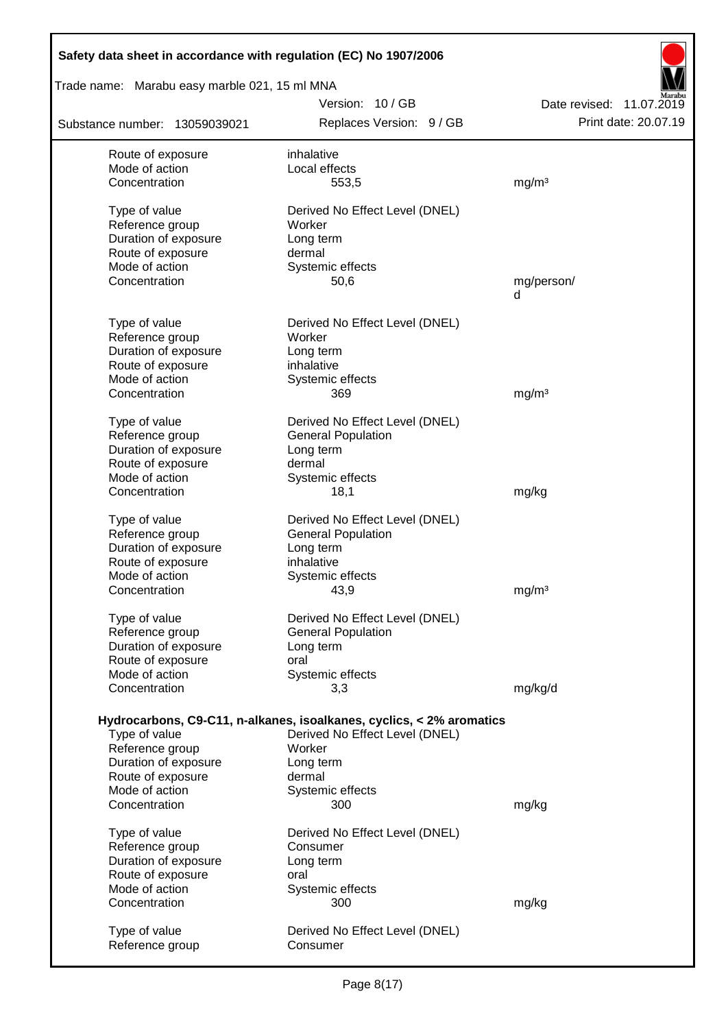| Safety data sheet in accordance with regulation (EC) No 1907/2006 |                                                                      |                          |
|-------------------------------------------------------------------|----------------------------------------------------------------------|--------------------------|
| Trade name: Marabu easy marble 021, 15 ml MNA                     | Version: 10/GB                                                       | Date revised: 11.07.2019 |
| Substance number: 13059039021                                     | Replaces Version: 9 / GB                                             | Print date: 20.07.19     |
| Route of exposure                                                 | inhalative                                                           |                          |
| Mode of action                                                    | Local effects                                                        |                          |
| Concentration                                                     | 553,5                                                                | mg/m <sup>3</sup>        |
| Type of value                                                     | Derived No Effect Level (DNEL)                                       |                          |
| Reference group                                                   | Worker                                                               |                          |
| Duration of exposure                                              | Long term                                                            |                          |
| Route of exposure                                                 | dermal                                                               |                          |
| Mode of action                                                    | Systemic effects                                                     |                          |
| Concentration                                                     | 50,6                                                                 | mg/person/<br>d          |
| Type of value                                                     | Derived No Effect Level (DNEL)                                       |                          |
| Reference group                                                   | Worker                                                               |                          |
| Duration of exposure                                              | Long term                                                            |                          |
| Route of exposure                                                 | inhalative                                                           |                          |
| Mode of action                                                    | Systemic effects                                                     |                          |
| Concentration                                                     | 369                                                                  | mg/m <sup>3</sup>        |
| Type of value                                                     | Derived No Effect Level (DNEL)                                       |                          |
| Reference group                                                   | <b>General Population</b>                                            |                          |
| Duration of exposure                                              | Long term                                                            |                          |
| Route of exposure                                                 | dermal                                                               |                          |
| Mode of action                                                    | Systemic effects                                                     |                          |
| Concentration                                                     | 18,1                                                                 | mg/kg                    |
| Type of value                                                     | Derived No Effect Level (DNEL)                                       |                          |
| Reference group                                                   | <b>General Population</b>                                            |                          |
| Duration of exposure                                              | Long term                                                            |                          |
| Route of exposure                                                 | inhalative                                                           |                          |
| Mode of action                                                    | Systemic effects                                                     |                          |
| Concentration                                                     | 43,9                                                                 | mg/m <sup>3</sup>        |
| Type of value                                                     | Derived No Effect Level (DNEL)                                       |                          |
| Reference group                                                   | <b>General Population</b>                                            |                          |
| Duration of exposure                                              | Long term                                                            |                          |
| Route of exposure                                                 | oral                                                                 |                          |
| Mode of action                                                    | Systemic effects                                                     |                          |
| Concentration                                                     | 3,3                                                                  | mg/kg/d                  |
|                                                                   | Hydrocarbons, C9-C11, n-alkanes, isoalkanes, cyclics, < 2% aromatics |                          |
| Type of value                                                     | Derived No Effect Level (DNEL)                                       |                          |
| Reference group                                                   | Worker                                                               |                          |
| Duration of exposure                                              | Long term                                                            |                          |
| Route of exposure                                                 | dermal                                                               |                          |
| Mode of action                                                    | Systemic effects                                                     |                          |
| Concentration                                                     | 300                                                                  | mg/kg                    |
| Type of value                                                     | Derived No Effect Level (DNEL)                                       |                          |
| Reference group                                                   | Consumer                                                             |                          |
| Duration of exposure                                              | Long term                                                            |                          |
| Route of exposure                                                 | oral                                                                 |                          |
| Mode of action                                                    | Systemic effects                                                     |                          |
| Concentration                                                     | 300                                                                  | mg/kg                    |
| Type of value                                                     | Derived No Effect Level (DNEL)                                       |                          |
| Reference group                                                   | Consumer                                                             |                          |
|                                                                   |                                                                      |                          |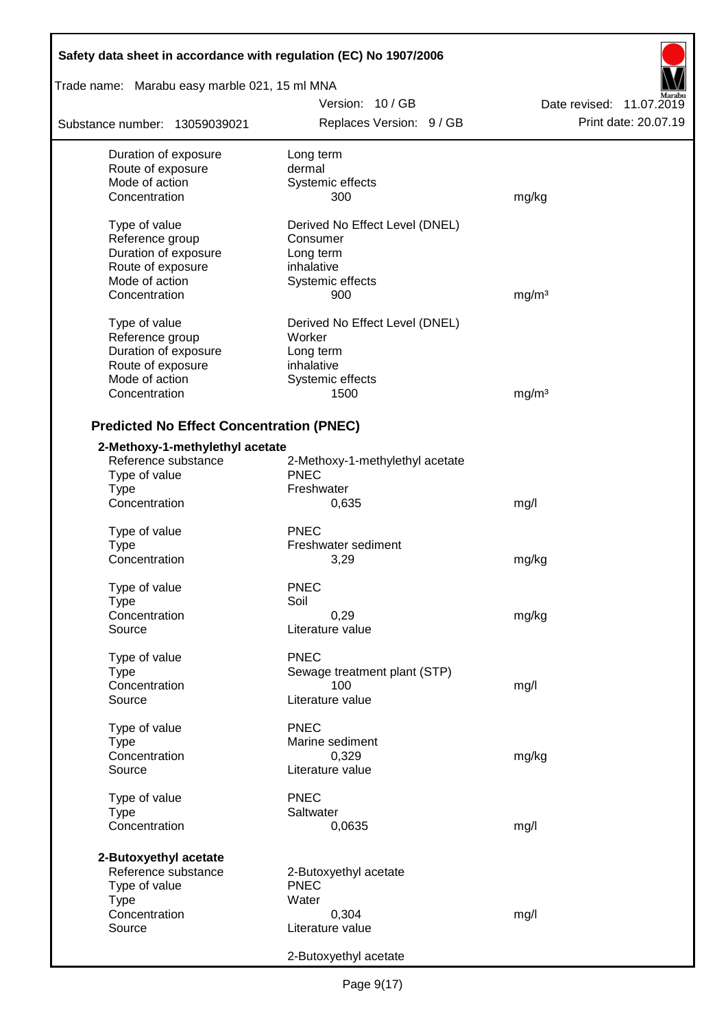| Safety data sheet in accordance with regulation (EC) No 1907/2006 |                                     |                          |  |  |  |
|-------------------------------------------------------------------|-------------------------------------|--------------------------|--|--|--|
| Trade name: Marabu easy marble 021, 15 ml MNA                     |                                     |                          |  |  |  |
|                                                                   | Version: 10 / GB                    | Date revised: 11.07.2019 |  |  |  |
| Substance number: 13059039021                                     | Replaces Version: 9 / GB            | Print date: 20.07.19     |  |  |  |
| Duration of exposure                                              | Long term                           |                          |  |  |  |
| Route of exposure                                                 | dermal                              |                          |  |  |  |
| Mode of action                                                    | Systemic effects                    |                          |  |  |  |
| Concentration                                                     | 300                                 | mg/kg                    |  |  |  |
| Type of value                                                     | Derived No Effect Level (DNEL)      |                          |  |  |  |
| Reference group                                                   | Consumer                            |                          |  |  |  |
| Duration of exposure                                              | Long term                           |                          |  |  |  |
| Route of exposure                                                 | inhalative                          |                          |  |  |  |
| Mode of action                                                    | Systemic effects                    |                          |  |  |  |
| Concentration                                                     | 900                                 | mg/m <sup>3</sup>        |  |  |  |
| Type of value                                                     | Derived No Effect Level (DNEL)      |                          |  |  |  |
| Reference group                                                   | Worker                              |                          |  |  |  |
| Duration of exposure                                              | Long term                           |                          |  |  |  |
| Route of exposure                                                 | inhalative                          |                          |  |  |  |
| Mode of action                                                    | Systemic effects                    |                          |  |  |  |
| Concentration                                                     | 1500                                | mg/m <sup>3</sup>        |  |  |  |
| <b>Predicted No Effect Concentration (PNEC)</b>                   |                                     |                          |  |  |  |
| 2-Methoxy-1-methylethyl acetate                                   |                                     |                          |  |  |  |
| Reference substance                                               | 2-Methoxy-1-methylethyl acetate     |                          |  |  |  |
| Type of value                                                     | <b>PNEC</b>                         |                          |  |  |  |
| <b>Type</b>                                                       | Freshwater                          |                          |  |  |  |
| Concentration                                                     | 0,635                               | mg/l                     |  |  |  |
| Type of value                                                     | <b>PNEC</b>                         |                          |  |  |  |
| <b>Type</b>                                                       | Freshwater sediment                 |                          |  |  |  |
| Concentration                                                     | 3,29                                | mg/kg                    |  |  |  |
|                                                                   | <b>PNEC</b>                         |                          |  |  |  |
| Type of value                                                     | Soil                                |                          |  |  |  |
| Type<br>Concentration                                             | 0,29                                | mg/kg                    |  |  |  |
| Source                                                            | Literature value                    |                          |  |  |  |
|                                                                   |                                     |                          |  |  |  |
| Type of value                                                     | <b>PNEC</b>                         |                          |  |  |  |
| <b>Type</b>                                                       | Sewage treatment plant (STP)<br>100 |                          |  |  |  |
| Concentration<br>Source                                           | Literature value                    | mg/l                     |  |  |  |
|                                                                   |                                     |                          |  |  |  |
| Type of value                                                     | <b>PNEC</b>                         |                          |  |  |  |
| Type                                                              | Marine sediment                     |                          |  |  |  |
| Concentration                                                     | 0,329                               | mg/kg                    |  |  |  |
| Source                                                            | Literature value                    |                          |  |  |  |
| Type of value                                                     | <b>PNEC</b>                         |                          |  |  |  |
| <b>Type</b>                                                       | Saltwater                           |                          |  |  |  |
| Concentration                                                     | 0,0635                              | mg/l                     |  |  |  |
| 2-Butoxyethyl acetate                                             |                                     |                          |  |  |  |
| Reference substance                                               | 2-Butoxyethyl acetate               |                          |  |  |  |
| Type of value                                                     | <b>PNEC</b>                         |                          |  |  |  |
| <b>Type</b>                                                       | Water                               |                          |  |  |  |
| Concentration                                                     | 0,304                               | mg/l                     |  |  |  |
| Source                                                            | Literature value                    |                          |  |  |  |
|                                                                   | 2-Butoxyethyl acetate               |                          |  |  |  |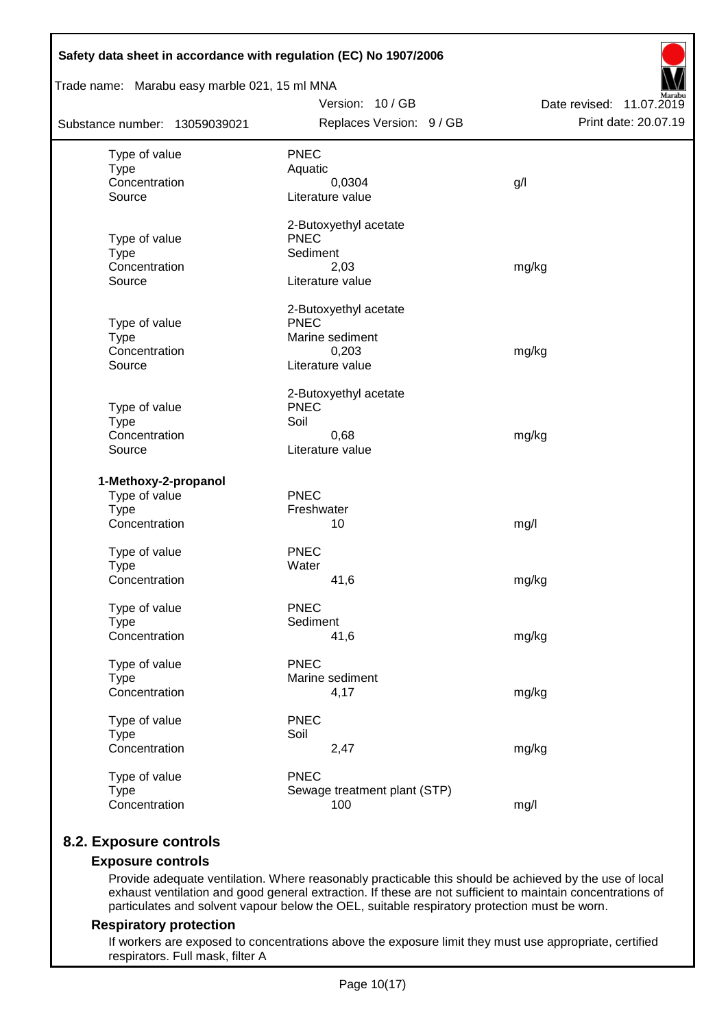| Trade name: Marabu easy marble 021, 15 ml MNA |                                      |                          |  |  |  |  |  |  |
|-----------------------------------------------|--------------------------------------|--------------------------|--|--|--|--|--|--|
|                                               | Version: 10/GB                       | Date revised: 11.07.2019 |  |  |  |  |  |  |
| Substance number: 13059039021                 | Replaces Version: 9 / GB             | Print date: 20.07.19     |  |  |  |  |  |  |
| Type of value                                 | <b>PNEC</b>                          |                          |  |  |  |  |  |  |
| <b>Type</b>                                   | Aquatic                              |                          |  |  |  |  |  |  |
| Concentration                                 | 0,0304                               | g/l                      |  |  |  |  |  |  |
| Source                                        | Literature value                     |                          |  |  |  |  |  |  |
|                                               | 2-Butoxyethyl acetate                |                          |  |  |  |  |  |  |
| Type of value                                 | <b>PNEC</b>                          |                          |  |  |  |  |  |  |
| <b>Type</b>                                   | Sediment                             |                          |  |  |  |  |  |  |
| Concentration<br>Source                       | 2,03<br>Literature value             | mg/kg                    |  |  |  |  |  |  |
|                                               |                                      |                          |  |  |  |  |  |  |
|                                               | 2-Butoxyethyl acetate                |                          |  |  |  |  |  |  |
| Type of value                                 | <b>PNEC</b><br>Marine sediment       |                          |  |  |  |  |  |  |
| <b>Type</b><br>Concentration                  | 0,203                                | mg/kg                    |  |  |  |  |  |  |
| Source                                        | Literature value                     |                          |  |  |  |  |  |  |
|                                               |                                      |                          |  |  |  |  |  |  |
|                                               | 2-Butoxyethyl acetate<br><b>PNEC</b> |                          |  |  |  |  |  |  |
| Type of value<br><b>Type</b>                  | Soil                                 |                          |  |  |  |  |  |  |
| Concentration                                 | 0,68                                 | mg/kg                    |  |  |  |  |  |  |
| Source                                        | Literature value                     |                          |  |  |  |  |  |  |
| 1-Methoxy-2-propanol                          |                                      |                          |  |  |  |  |  |  |
| Type of value                                 | <b>PNEC</b>                          |                          |  |  |  |  |  |  |
| <b>Type</b>                                   | Freshwater                           |                          |  |  |  |  |  |  |
| Concentration                                 | 10                                   | mg/l                     |  |  |  |  |  |  |
| Type of value                                 | <b>PNEC</b>                          |                          |  |  |  |  |  |  |
| <b>Type</b>                                   | Water                                |                          |  |  |  |  |  |  |
| Concentration                                 | 41,6                                 | mg/kg                    |  |  |  |  |  |  |
|                                               |                                      |                          |  |  |  |  |  |  |
| Type of value                                 | <b>PNEC</b>                          |                          |  |  |  |  |  |  |
| <b>Type</b><br>Concentration                  | Sediment<br>41,6                     |                          |  |  |  |  |  |  |
|                                               |                                      | mg/kg                    |  |  |  |  |  |  |
| Type of value                                 | <b>PNEC</b>                          |                          |  |  |  |  |  |  |
| <b>Type</b>                                   | Marine sediment                      |                          |  |  |  |  |  |  |
| Concentration                                 | 4,17                                 | mg/kg                    |  |  |  |  |  |  |
| Type of value                                 | <b>PNEC</b>                          |                          |  |  |  |  |  |  |
| <b>Type</b>                                   | Soil                                 |                          |  |  |  |  |  |  |
| Concentration                                 | 2,47                                 | mg/kg                    |  |  |  |  |  |  |
| Type of value                                 | <b>PNEC</b>                          |                          |  |  |  |  |  |  |
| <b>Type</b>                                   | Sewage treatment plant (STP)         |                          |  |  |  |  |  |  |
| Concentration                                 | 100                                  | mg/l                     |  |  |  |  |  |  |

# **8.2. Exposure controls**

### **Exposure controls**

Provide adequate ventilation. Where reasonably practicable this should be achieved by the use of local exhaust ventilation and good general extraction. If these are not sufficient to maintain concentrations of particulates and solvent vapour below the OEL, suitable respiratory protection must be worn.

### **Respiratory protection**

If workers are exposed to concentrations above the exposure limit they must use appropriate, certified respirators. Full mask, filter A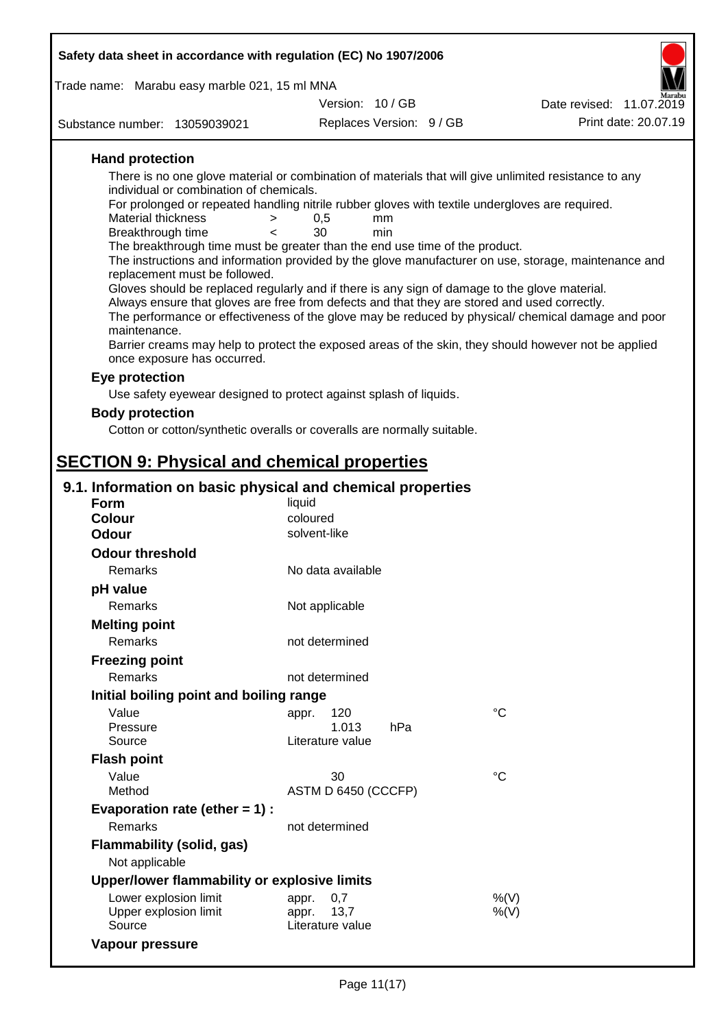| Safety data sheet in accordance with regulation (EC) No 1907/2006                                                     |                               |           |  |                                                                                                      |  |  |  |
|-----------------------------------------------------------------------------------------------------------------------|-------------------------------|-----------|--|------------------------------------------------------------------------------------------------------|--|--|--|
| Trade name: Marabu easy marble 021, 15 ml MNA                                                                         |                               |           |  |                                                                                                      |  |  |  |
|                                                                                                                       | Version: 10/GB                |           |  | Date revised: 11.07.2019                                                                             |  |  |  |
| Substance number: 13059039021                                                                                         | Replaces Version: 9 / GB      |           |  | Print date: 20.07.19                                                                                 |  |  |  |
| <b>Hand protection</b>                                                                                                |                               |           |  |                                                                                                      |  |  |  |
| There is no one glove material or combination of materials that will give unlimited resistance to any                 |                               |           |  |                                                                                                      |  |  |  |
| individual or combination of chemicals.                                                                               |                               |           |  |                                                                                                      |  |  |  |
| For prolonged or repeated handling nitrile rubber gloves with textile undergloves are required.<br>Material thickness |                               |           |  |                                                                                                      |  |  |  |
| ><br>Breakthrough time<br>$\,<\,$                                                                                     | 0,5<br>30                     | mm<br>min |  |                                                                                                      |  |  |  |
| The breakthrough time must be greater than the end use time of the product.                                           |                               |           |  |                                                                                                      |  |  |  |
| replacement must be followed.                                                                                         |                               |           |  | The instructions and information provided by the glove manufacturer on use, storage, maintenance and |  |  |  |
| Gloves should be replaced regularly and if there is any sign of damage to the glove material.                         |                               |           |  |                                                                                                      |  |  |  |
| Always ensure that gloves are free from defects and that they are stored and used correctly.                          |                               |           |  |                                                                                                      |  |  |  |
|                                                                                                                       |                               |           |  | The performance or effectiveness of the glove may be reduced by physical/ chemical damage and poor   |  |  |  |
| maintenance.<br>Barrier creams may help to protect the exposed areas of the skin, they should however not be applied  |                               |           |  |                                                                                                      |  |  |  |
| once exposure has occurred.                                                                                           |                               |           |  |                                                                                                      |  |  |  |
| Eye protection                                                                                                        |                               |           |  |                                                                                                      |  |  |  |
| Use safety eyewear designed to protect against splash of liquids.                                                     |                               |           |  |                                                                                                      |  |  |  |
| <b>Body protection</b>                                                                                                |                               |           |  |                                                                                                      |  |  |  |
| Cotton or cotton/synthetic overalls or coveralls are normally suitable.                                               |                               |           |  |                                                                                                      |  |  |  |
|                                                                                                                       |                               |           |  |                                                                                                      |  |  |  |
| <b>SECTION 9: Physical and chemical properties</b>                                                                    |                               |           |  |                                                                                                      |  |  |  |
| 9.1. Information on basic physical and chemical properties                                                            |                               |           |  |                                                                                                      |  |  |  |
| <b>Form</b>                                                                                                           | liquid                        |           |  |                                                                                                      |  |  |  |
| <b>Colour</b>                                                                                                         | coloured                      |           |  |                                                                                                      |  |  |  |
| Odour                                                                                                                 | solvent-like                  |           |  |                                                                                                      |  |  |  |
| <b>Odour threshold</b>                                                                                                |                               |           |  |                                                                                                      |  |  |  |
| Remarks                                                                                                               | No data available             |           |  |                                                                                                      |  |  |  |
| pH value<br>Remarks                                                                                                   |                               |           |  |                                                                                                      |  |  |  |
|                                                                                                                       | Not applicable                |           |  |                                                                                                      |  |  |  |
| <b>Melting point</b><br><b>Remarks</b>                                                                                | not determined                |           |  |                                                                                                      |  |  |  |
|                                                                                                                       |                               |           |  |                                                                                                      |  |  |  |
| <b>Freezing point</b><br><b>Remarks</b>                                                                               | not determined                |           |  |                                                                                                      |  |  |  |
| Initial boiling point and boiling range                                                                               |                               |           |  |                                                                                                      |  |  |  |
| Value                                                                                                                 | 120                           |           |  | $^{\circ}C$                                                                                          |  |  |  |
| Pressure                                                                                                              | appr.<br>1.013                | hPa       |  |                                                                                                      |  |  |  |
| Source                                                                                                                | Literature value              |           |  |                                                                                                      |  |  |  |
| <b>Flash point</b>                                                                                                    |                               |           |  |                                                                                                      |  |  |  |
| Value                                                                                                                 | 30                            |           |  | $^{\circ}C$                                                                                          |  |  |  |
| Method                                                                                                                | ASTM D 6450 (CCCFP)           |           |  |                                                                                                      |  |  |  |
| Evaporation rate (ether $= 1$ ) :                                                                                     |                               |           |  |                                                                                                      |  |  |  |
| Remarks                                                                                                               | not determined                |           |  |                                                                                                      |  |  |  |
| <b>Flammability (solid, gas)</b>                                                                                      |                               |           |  |                                                                                                      |  |  |  |
| Not applicable                                                                                                        |                               |           |  |                                                                                                      |  |  |  |
| Upper/lower flammability or explosive limits                                                                          |                               |           |  |                                                                                                      |  |  |  |
| Lower explosion limit<br>Upper explosion limit                                                                        | 0,7<br>appr.<br>13,7<br>appr. |           |  | %(V)<br>$%$ (V)                                                                                      |  |  |  |
| Source                                                                                                                | Literature value              |           |  |                                                                                                      |  |  |  |

**Vapour pressure**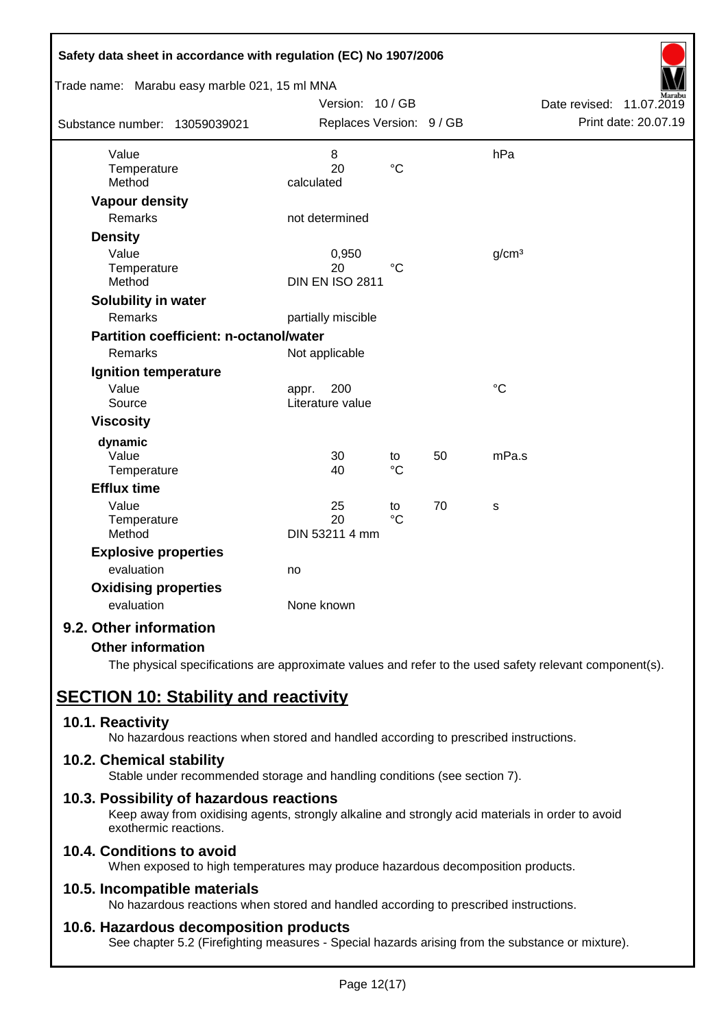|                |                                                                                                                                                                                                                                          |                                                                                                           |                                                                                                           | Date revised:<br>11.07.2019   |
|----------------|------------------------------------------------------------------------------------------------------------------------------------------------------------------------------------------------------------------------------------------|-----------------------------------------------------------------------------------------------------------|-----------------------------------------------------------------------------------------------------------|-------------------------------|
|                |                                                                                                                                                                                                                                          |                                                                                                           |                                                                                                           | Print date: 20.07.19          |
| 8              |                                                                                                                                                                                                                                          |                                                                                                           | hPa                                                                                                       |                               |
| 20             | $\rm ^{\circ}C$                                                                                                                                                                                                                          |                                                                                                           |                                                                                                           |                               |
|                |                                                                                                                                                                                                                                          |                                                                                                           |                                                                                                           |                               |
|                |                                                                                                                                                                                                                                          |                                                                                                           |                                                                                                           |                               |
|                |                                                                                                                                                                                                                                          |                                                                                                           |                                                                                                           |                               |
|                |                                                                                                                                                                                                                                          |                                                                                                           |                                                                                                           |                               |
| 0,950          |                                                                                                                                                                                                                                          |                                                                                                           | g/cm <sup>3</sup>                                                                                         |                               |
|                |                                                                                                                                                                                                                                          |                                                                                                           |                                                                                                           |                               |
|                |                                                                                                                                                                                                                                          |                                                                                                           |                                                                                                           |                               |
|                |                                                                                                                                                                                                                                          |                                                                                                           |                                                                                                           |                               |
|                |                                                                                                                                                                                                                                          |                                                                                                           |                                                                                                           |                               |
|                |                                                                                                                                                                                                                                          |                                                                                                           |                                                                                                           |                               |
|                |                                                                                                                                                                                                                                          |                                                                                                           |                                                                                                           |                               |
|                |                                                                                                                                                                                                                                          |                                                                                                           |                                                                                                           |                               |
|                |                                                                                                                                                                                                                                          |                                                                                                           |                                                                                                           |                               |
|                |                                                                                                                                                                                                                                          |                                                                                                           |                                                                                                           |                               |
|                |                                                                                                                                                                                                                                          |                                                                                                           |                                                                                                           |                               |
|                |                                                                                                                                                                                                                                          |                                                                                                           |                                                                                                           |                               |
|                |                                                                                                                                                                                                                                          |                                                                                                           |                                                                                                           |                               |
|                |                                                                                                                                                                                                                                          |                                                                                                           |                                                                                                           |                               |
|                |                                                                                                                                                                                                                                          |                                                                                                           |                                                                                                           |                               |
|                |                                                                                                                                                                                                                                          |                                                                                                           |                                                                                                           |                               |
| DIN 53211 4 mm |                                                                                                                                                                                                                                          |                                                                                                           |                                                                                                           |                               |
|                |                                                                                                                                                                                                                                          |                                                                                                           |                                                                                                           |                               |
| no             |                                                                                                                                                                                                                                          |                                                                                                           |                                                                                                           |                               |
|                |                                                                                                                                                                                                                                          |                                                                                                           |                                                                                                           |                               |
| None known     |                                                                                                                                                                                                                                          |                                                                                                           |                                                                                                           |                               |
|                |                                                                                                                                                                                                                                          |                                                                                                           |                                                                                                           |                               |
|                | Trade name: Marabu easy marble 021, 15 ml MNA<br>calculated<br>not determined<br>20<br>partially miscible<br><b>Partition coefficient: n-octanol/water</b><br>Not applicable<br>200<br>appr.<br>Literature value<br>30<br>40<br>25<br>20 | Version: 10/GB<br>$\rm ^{\circ}C$<br><b>DIN EN ISO 2811</b><br>to<br>$^{\circ}C$<br>to<br>$\rm ^{\circ}C$ | Safety data sheet in accordance with regulation (EC) No 1907/2006<br>Replaces Version: 9 / GB<br>50<br>70 | $\rm ^{\circ}C$<br>mPa.s<br>S |

### **Other information**

The physical specifications are approximate values and refer to the used safety relevant component(s).

# **SECTION 10: Stability and reactivity**

### **10.1. Reactivity**

No hazardous reactions when stored and handled according to prescribed instructions.

### **10.2. Chemical stability**

Stable under recommended storage and handling conditions (see section 7).

### **10.3. Possibility of hazardous reactions**

Keep away from oxidising agents, strongly alkaline and strongly acid materials in order to avoid exothermic reactions.

# **10.4. Conditions to avoid**

When exposed to high temperatures may produce hazardous decomposition products.

### **10.5. Incompatible materials**

No hazardous reactions when stored and handled according to prescribed instructions.

### **10.6. Hazardous decomposition products**

See chapter 5.2 (Firefighting measures - Special hazards arising from the substance or mixture).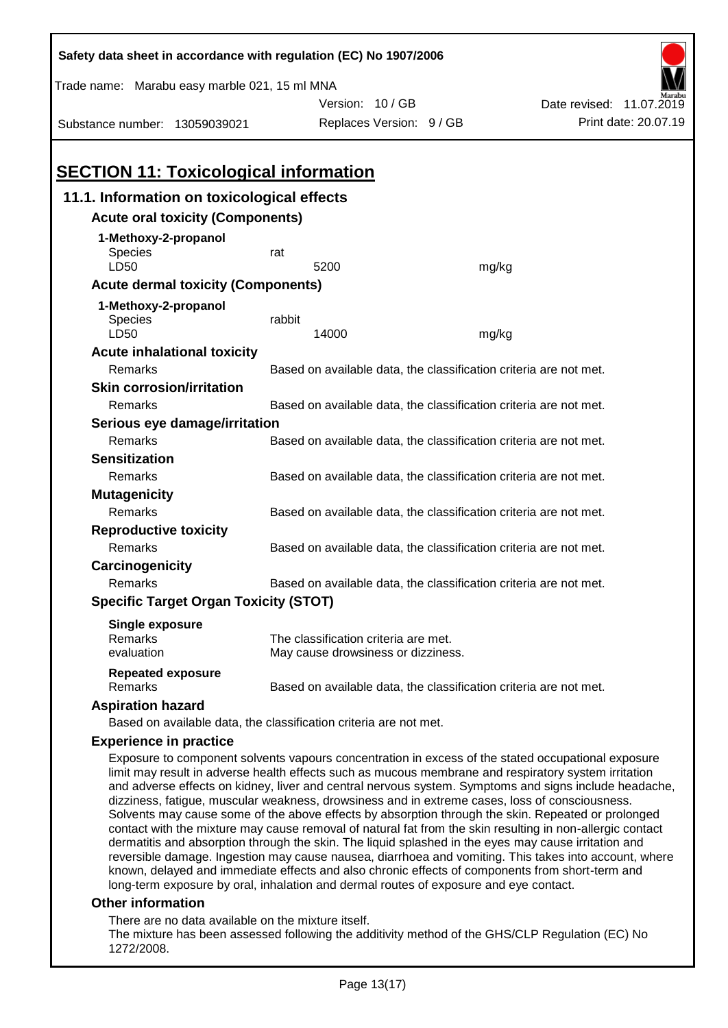| Safety data sheet in accordance with regulation (EC) No 1907/2006                                                                                                                                                                                                                                                                                                                                                                                                                                                                                                                                                                                                                                                                                |                                                                   |                                                                            |       |                          |  |  |
|--------------------------------------------------------------------------------------------------------------------------------------------------------------------------------------------------------------------------------------------------------------------------------------------------------------------------------------------------------------------------------------------------------------------------------------------------------------------------------------------------------------------------------------------------------------------------------------------------------------------------------------------------------------------------------------------------------------------------------------------------|-------------------------------------------------------------------|----------------------------------------------------------------------------|-------|--------------------------|--|--|
| Trade name: Marabu easy marble 021, 15 ml MNA                                                                                                                                                                                                                                                                                                                                                                                                                                                                                                                                                                                                                                                                                                    |                                                                   |                                                                            |       |                          |  |  |
|                                                                                                                                                                                                                                                                                                                                                                                                                                                                                                                                                                                                                                                                                                                                                  |                                                                   | Version: 10/GB                                                             |       | Date revised: 11.07.2019 |  |  |
| Substance number: 13059039021                                                                                                                                                                                                                                                                                                                                                                                                                                                                                                                                                                                                                                                                                                                    |                                                                   | Replaces Version: 9 / GB                                                   |       | Print date: 20.07.19     |  |  |
|                                                                                                                                                                                                                                                                                                                                                                                                                                                                                                                                                                                                                                                                                                                                                  |                                                                   |                                                                            |       |                          |  |  |
| <b>SECTION 11: Toxicological information</b>                                                                                                                                                                                                                                                                                                                                                                                                                                                                                                                                                                                                                                                                                                     |                                                                   |                                                                            |       |                          |  |  |
| 11.1. Information on toxicological effects                                                                                                                                                                                                                                                                                                                                                                                                                                                                                                                                                                                                                                                                                                       |                                                                   |                                                                            |       |                          |  |  |
| <b>Acute oral toxicity (Components)</b>                                                                                                                                                                                                                                                                                                                                                                                                                                                                                                                                                                                                                                                                                                          |                                                                   |                                                                            |       |                          |  |  |
| 1-Methoxy-2-propanol                                                                                                                                                                                                                                                                                                                                                                                                                                                                                                                                                                                                                                                                                                                             |                                                                   |                                                                            |       |                          |  |  |
| Species                                                                                                                                                                                                                                                                                                                                                                                                                                                                                                                                                                                                                                                                                                                                          | rat                                                               |                                                                            |       |                          |  |  |
| LD50                                                                                                                                                                                                                                                                                                                                                                                                                                                                                                                                                                                                                                                                                                                                             |                                                                   | 5200                                                                       | mg/kg |                          |  |  |
| <b>Acute dermal toxicity (Components)</b>                                                                                                                                                                                                                                                                                                                                                                                                                                                                                                                                                                                                                                                                                                        |                                                                   |                                                                            |       |                          |  |  |
| 1-Methoxy-2-propanol                                                                                                                                                                                                                                                                                                                                                                                                                                                                                                                                                                                                                                                                                                                             |                                                                   |                                                                            |       |                          |  |  |
| <b>Species</b><br>LD50                                                                                                                                                                                                                                                                                                                                                                                                                                                                                                                                                                                                                                                                                                                           | rabbit                                                            | 14000                                                                      | mg/kg |                          |  |  |
| <b>Acute inhalational toxicity</b>                                                                                                                                                                                                                                                                                                                                                                                                                                                                                                                                                                                                                                                                                                               |                                                                   |                                                                            |       |                          |  |  |
| Remarks                                                                                                                                                                                                                                                                                                                                                                                                                                                                                                                                                                                                                                                                                                                                          |                                                                   | Based on available data, the classification criteria are not met.          |       |                          |  |  |
| <b>Skin corrosion/irritation</b>                                                                                                                                                                                                                                                                                                                                                                                                                                                                                                                                                                                                                                                                                                                 |                                                                   |                                                                            |       |                          |  |  |
| Remarks                                                                                                                                                                                                                                                                                                                                                                                                                                                                                                                                                                                                                                                                                                                                          |                                                                   | Based on available data, the classification criteria are not met.          |       |                          |  |  |
| Serious eye damage/irritation                                                                                                                                                                                                                                                                                                                                                                                                                                                                                                                                                                                                                                                                                                                    |                                                                   |                                                                            |       |                          |  |  |
| Remarks                                                                                                                                                                                                                                                                                                                                                                                                                                                                                                                                                                                                                                                                                                                                          |                                                                   | Based on available data, the classification criteria are not met.          |       |                          |  |  |
| <b>Sensitization</b>                                                                                                                                                                                                                                                                                                                                                                                                                                                                                                                                                                                                                                                                                                                             |                                                                   |                                                                            |       |                          |  |  |
| Remarks                                                                                                                                                                                                                                                                                                                                                                                                                                                                                                                                                                                                                                                                                                                                          |                                                                   | Based on available data, the classification criteria are not met.          |       |                          |  |  |
| <b>Mutagenicity</b>                                                                                                                                                                                                                                                                                                                                                                                                                                                                                                                                                                                                                                                                                                                              |                                                                   |                                                                            |       |                          |  |  |
| Remarks                                                                                                                                                                                                                                                                                                                                                                                                                                                                                                                                                                                                                                                                                                                                          |                                                                   | Based on available data, the classification criteria are not met.          |       |                          |  |  |
| <b>Reproductive toxicity</b>                                                                                                                                                                                                                                                                                                                                                                                                                                                                                                                                                                                                                                                                                                                     |                                                                   |                                                                            |       |                          |  |  |
| Remarks                                                                                                                                                                                                                                                                                                                                                                                                                                                                                                                                                                                                                                                                                                                                          |                                                                   | Based on available data, the classification criteria are not met.          |       |                          |  |  |
| Carcinogenicity                                                                                                                                                                                                                                                                                                                                                                                                                                                                                                                                                                                                                                                                                                                                  |                                                                   |                                                                            |       |                          |  |  |
| Remarks                                                                                                                                                                                                                                                                                                                                                                                                                                                                                                                                                                                                                                                                                                                                          | Based on available data, the classification criteria are not met. |                                                                            |       |                          |  |  |
| <b>Specific Target Organ Toxicity (STOT)</b>                                                                                                                                                                                                                                                                                                                                                                                                                                                                                                                                                                                                                                                                                                     |                                                                   |                                                                            |       |                          |  |  |
| <b>Single exposure</b>                                                                                                                                                                                                                                                                                                                                                                                                                                                                                                                                                                                                                                                                                                                           |                                                                   |                                                                            |       |                          |  |  |
| Remarks<br>evaluation                                                                                                                                                                                                                                                                                                                                                                                                                                                                                                                                                                                                                                                                                                                            |                                                                   | The classification criteria are met.<br>May cause drowsiness or dizziness. |       |                          |  |  |
|                                                                                                                                                                                                                                                                                                                                                                                                                                                                                                                                                                                                                                                                                                                                                  |                                                                   |                                                                            |       |                          |  |  |
| <b>Repeated exposure</b><br>Remarks                                                                                                                                                                                                                                                                                                                                                                                                                                                                                                                                                                                                                                                                                                              |                                                                   | Based on available data, the classification criteria are not met.          |       |                          |  |  |
| <b>Aspiration hazard</b>                                                                                                                                                                                                                                                                                                                                                                                                                                                                                                                                                                                                                                                                                                                         |                                                                   |                                                                            |       |                          |  |  |
| Based on available data, the classification criteria are not met.                                                                                                                                                                                                                                                                                                                                                                                                                                                                                                                                                                                                                                                                                |                                                                   |                                                                            |       |                          |  |  |
| <b>Experience in practice</b>                                                                                                                                                                                                                                                                                                                                                                                                                                                                                                                                                                                                                                                                                                                    |                                                                   |                                                                            |       |                          |  |  |
| Exposure to component solvents vapours concentration in excess of the stated occupational exposure<br>limit may result in adverse health effects such as mucous membrane and respiratory system irritation<br>and adverse effects on kidney, liver and central nervous system. Symptoms and signs include headache,<br>dizziness, fatigue, muscular weakness, drowsiness and in extreme cases, loss of consciousness.<br>Solvents may cause some of the above effects by absorption through the skin. Repeated or prolonged<br>contact with the mixture may cause removal of natural fat from the skin resulting in non-allergic contact<br>dermatitis and absorption through the skin. The liquid splashed in the eyes may cause irritation and |                                                                   |                                                                            |       |                          |  |  |
| reversible damage. Ingestion may cause nausea, diarrhoea and vomiting. This takes into account, where                                                                                                                                                                                                                                                                                                                                                                                                                                                                                                                                                                                                                                            |                                                                   |                                                                            |       |                          |  |  |

known, delayed and immediate effects and also chronic effects of components from short-term and long-term exposure by oral, inhalation and dermal routes of exposure and eye contact.

### **Other information**

There are no data available on the mixture itself.

The mixture has been assessed following the additivity method of the GHS/CLP Regulation (EC) No 1272/2008.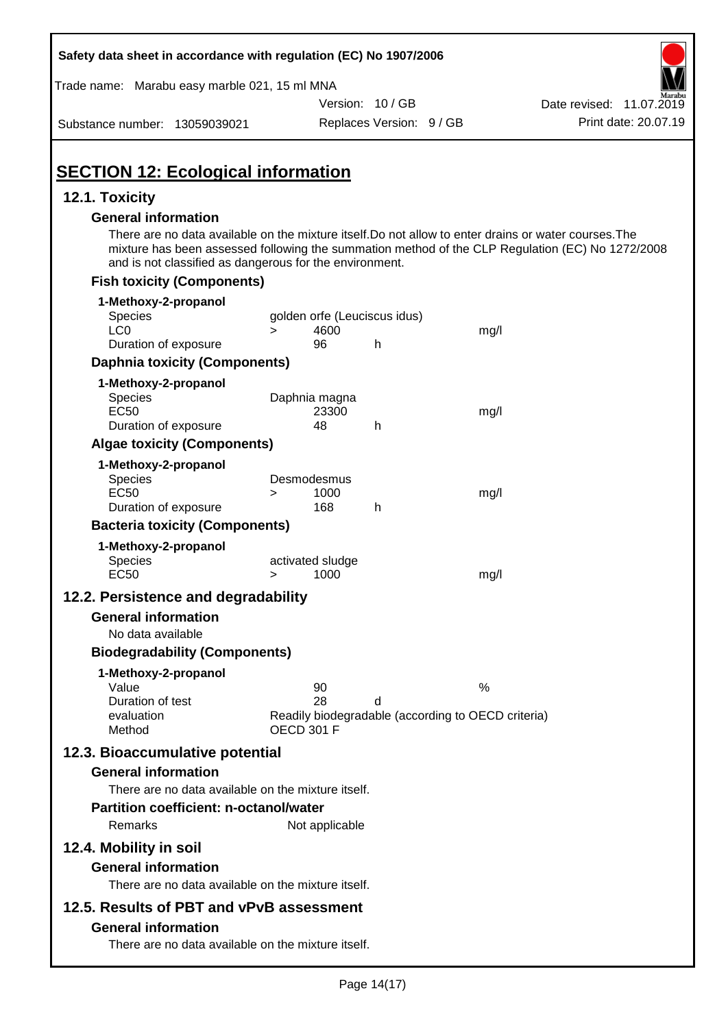| Safety data sheet in accordance with regulation (EC) No 1907/2006                                                                                                                              |                                                                                     |                          |      |                                                                                                  |
|------------------------------------------------------------------------------------------------------------------------------------------------------------------------------------------------|-------------------------------------------------------------------------------------|--------------------------|------|--------------------------------------------------------------------------------------------------|
| Trade name: Marabu easy marble 021, 15 ml MNA                                                                                                                                                  |                                                                                     |                          |      |                                                                                                  |
|                                                                                                                                                                                                |                                                                                     | Version: 10/GB           |      | Date revised: 11.07.2019                                                                         |
| Substance number: 13059039021                                                                                                                                                                  |                                                                                     | Replaces Version: 9 / GB |      | Print date: 20.07.19                                                                             |
| <b>SECTION 12: Ecological information</b>                                                                                                                                                      |                                                                                     |                          |      |                                                                                                  |
| 12.1. Toxicity                                                                                                                                                                                 |                                                                                     |                          |      |                                                                                                  |
| <b>General information</b><br>There are no data available on the mixture itself. Do not allow to enter drains or water courses. The<br>and is not classified as dangerous for the environment. |                                                                                     |                          |      | mixture has been assessed following the summation method of the CLP Regulation (EC) No 1272/2008 |
| <b>Fish toxicity (Components)</b>                                                                                                                                                              |                                                                                     |                          |      |                                                                                                  |
| 1-Methoxy-2-propanol                                                                                                                                                                           |                                                                                     |                          |      |                                                                                                  |
| Species                                                                                                                                                                                        | golden orfe (Leuciscus idus)                                                        |                          |      |                                                                                                  |
| LC <sub>0</sub><br>Duration of exposure                                                                                                                                                        | 4600<br>$\geq$<br>96                                                                | h                        | mg/l |                                                                                                  |
| <b>Daphnia toxicity (Components)</b>                                                                                                                                                           |                                                                                     |                          |      |                                                                                                  |
|                                                                                                                                                                                                |                                                                                     |                          |      |                                                                                                  |
| 1-Methoxy-2-propanol<br>Species<br><b>EC50</b>                                                                                                                                                 | Daphnia magna<br>23300                                                              |                          | mg/l |                                                                                                  |
| Duration of exposure                                                                                                                                                                           | 48                                                                                  | h                        |      |                                                                                                  |
| <b>Algae toxicity (Components)</b>                                                                                                                                                             |                                                                                     |                          |      |                                                                                                  |
| 1-Methoxy-2-propanol<br>Species<br><b>EC50</b><br>Duration of exposure                                                                                                                         | Desmodesmus<br>1000<br>><br>168                                                     | h                        | mg/l |                                                                                                  |
| <b>Bacteria toxicity (Components)</b>                                                                                                                                                          |                                                                                     |                          |      |                                                                                                  |
| 1-Methoxy-2-propanol<br><b>Species</b><br><b>EC50</b>                                                                                                                                          | activated sludge<br>1000<br>>                                                       |                          | mg/l |                                                                                                  |
|                                                                                                                                                                                                |                                                                                     |                          |      |                                                                                                  |
| 12.2. Persistence and degradability                                                                                                                                                            |                                                                                     |                          |      |                                                                                                  |
| <b>General information</b>                                                                                                                                                                     |                                                                                     |                          |      |                                                                                                  |
| No data available                                                                                                                                                                              |                                                                                     |                          |      |                                                                                                  |
| <b>Biodegradability (Components)</b>                                                                                                                                                           |                                                                                     |                          |      |                                                                                                  |
| 1-Methoxy-2-propanol<br>Value<br>Duration of test<br>evaluation<br>Method                                                                                                                      | 90<br>28<br>Readily biodegradable (according to OECD criteria)<br><b>OECD 301 F</b> | d                        | %    |                                                                                                  |
| 12.3. Bioaccumulative potential                                                                                                                                                                |                                                                                     |                          |      |                                                                                                  |
| <b>General information</b>                                                                                                                                                                     |                                                                                     |                          |      |                                                                                                  |
| There are no data available on the mixture itself.<br><b>Partition coefficient: n-octanol/water</b><br>Remarks                                                                                 | Not applicable                                                                      |                          |      |                                                                                                  |
| 12.4. Mobility in soil                                                                                                                                                                         |                                                                                     |                          |      |                                                                                                  |
| <b>General information</b><br>There are no data available on the mixture itself.                                                                                                               |                                                                                     |                          |      |                                                                                                  |
| 12.5. Results of PBT and vPvB assessment                                                                                                                                                       |                                                                                     |                          |      |                                                                                                  |
| <b>General information</b><br>There are no data available on the mixture itself.                                                                                                               |                                                                                     |                          |      |                                                                                                  |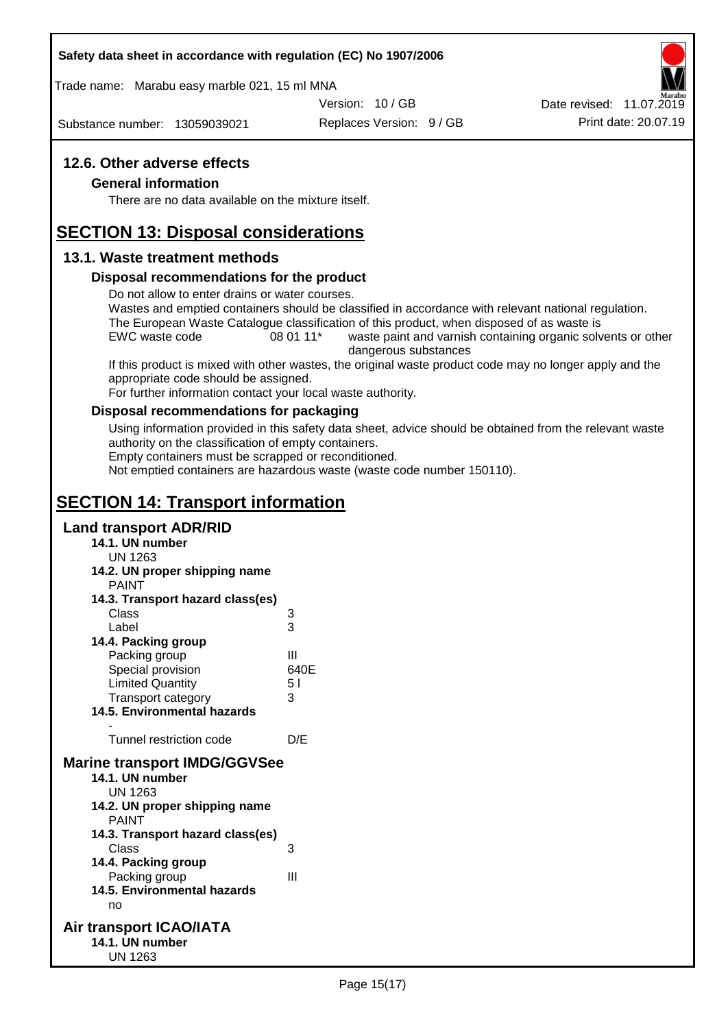Trade name: Marabu easy marble 021, 15 ml MNA

Version: 10 / GB

Substance number: 13059039021

Replaces Version: 9 / GB Print date: 20.07.19 Date revised: 11.07.2019

### **12.6. Other adverse effects**

### **General information**

There are no data available on the mixture itself.

# **SECTION 13: Disposal considerations**

### **13.1. Waste treatment methods**

### **Disposal recommendations for the product**

Do not allow to enter drains or water courses.

Wastes and emptied containers should be classified in accordance with relevant national regulation. The European Waste Catalogue classification of this product, when disposed of as waste is

EWC waste code 08 01 11<sup>\*</sup> waste paint and varnish containing organic solvents or other dangerous substances

If this product is mixed with other wastes, the original waste product code may no longer apply and the appropriate code should be assigned.

For further information contact your local waste authority.

### **Disposal recommendations for packaging**

Using information provided in this safety data sheet, advice should be obtained from the relevant waste authority on the classification of empty containers.

Empty containers must be scrapped or reconditioned.

Not emptied containers are hazardous waste (waste code number 150110).

# **SECTION 14: Transport information**

### **Land transport ADR/RID**

- **14.1. UN number**
	- UN 1263
- **14.2. UN proper shipping name**
	- **DAINIT**

| <b>FAIN</b>                         |      |
|-------------------------------------|------|
| 14.3. Transport hazard class(es)    |      |
| Class                               | 3    |
| Label                               | 3    |
| 14.4. Packing group                 |      |
| Packing group                       | Ш    |
| Special provision                   | 640E |
| <b>Limited Quantity</b>             | 51   |
| <b>Transport category</b>           | 3    |
| <b>14.5. Environmental hazards</b>  |      |
|                                     |      |
| Tunnel restriction code             | D/E  |
| <b>Marine transport IMDG/GGVSee</b> |      |
| 14.1. UN number                     |      |
| UN 1263                             |      |
| 14.2. UN proper shipping name       |      |
| <b>PAINT</b>                        |      |
| 14.3. Transport hazard class(es)    |      |
| Class                               | 3    |
| 14.4. Packing group                 |      |
| Packing group                       | Ш    |
| <b>14.5. Environmental hazards</b>  |      |
| no                                  |      |

### **Air transport ICAO/IATA 14.1. UN number** UN 1263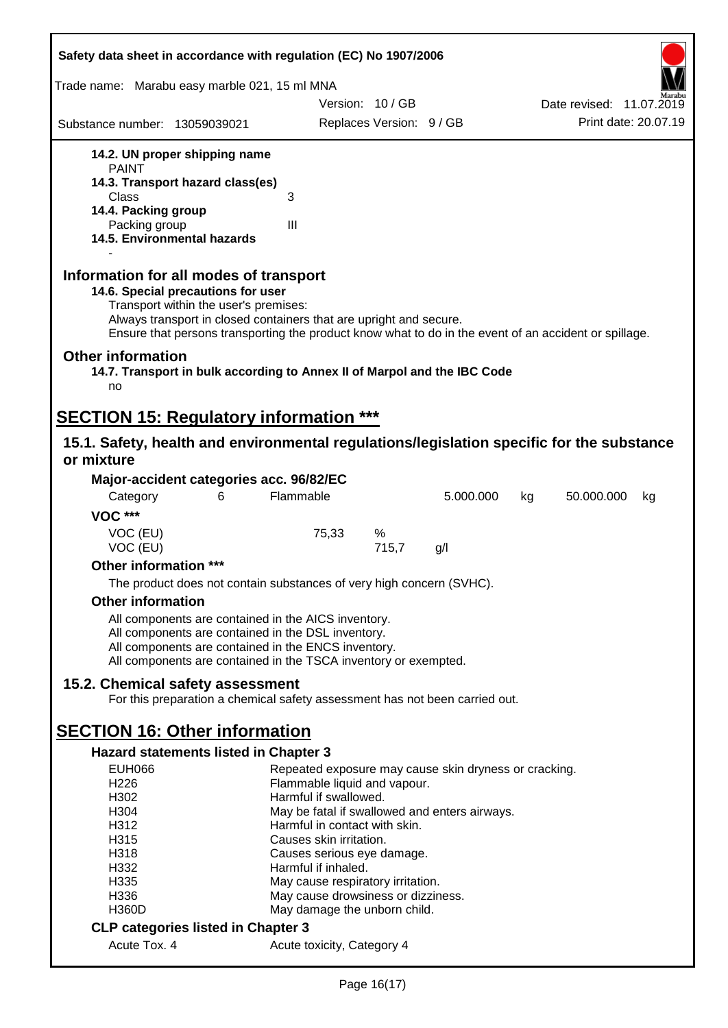| Safety data sheet in accordance with regulation (EC) No 1907/2006                                                                                                                                                                                                                                    |                                                          |                          |           |                          |  |
|------------------------------------------------------------------------------------------------------------------------------------------------------------------------------------------------------------------------------------------------------------------------------------------------------|----------------------------------------------------------|--------------------------|-----------|--------------------------|--|
| Trade name: Marabu easy marble 021, 15 ml MNA                                                                                                                                                                                                                                                        |                                                          |                          |           |                          |  |
|                                                                                                                                                                                                                                                                                                      |                                                          | Version: 10/GB           |           | Date revised: 11.07.2019 |  |
| Substance number: 13059039021                                                                                                                                                                                                                                                                        |                                                          | Replaces Version: 9 / GB |           | Print date: 20.07.19     |  |
| 14.2. UN proper shipping name                                                                                                                                                                                                                                                                        |                                                          |                          |           |                          |  |
| <b>PAINT</b>                                                                                                                                                                                                                                                                                         |                                                          |                          |           |                          |  |
| 14.3. Transport hazard class(es)<br>Class                                                                                                                                                                                                                                                            | 3                                                        |                          |           |                          |  |
| 14.4. Packing group                                                                                                                                                                                                                                                                                  |                                                          |                          |           |                          |  |
| Packing group                                                                                                                                                                                                                                                                                        | III                                                      |                          |           |                          |  |
| 14.5. Environmental hazards                                                                                                                                                                                                                                                                          |                                                          |                          |           |                          |  |
| Information for all modes of transport<br>14.6. Special precautions for user<br>Transport within the user's premises:<br>Always transport in closed containers that are upright and secure.<br>Ensure that persons transporting the product know what to do in the event of an accident or spillage. |                                                          |                          |           |                          |  |
| <b>Other information</b><br>14.7. Transport in bulk according to Annex II of Marpol and the IBC Code<br>no                                                                                                                                                                                           |                                                          |                          |           |                          |  |
|                                                                                                                                                                                                                                                                                                      |                                                          |                          |           |                          |  |
| <b>SECTION 15: Regulatory information ***</b>                                                                                                                                                                                                                                                        |                                                          |                          |           |                          |  |
| 15.1. Safety, health and environmental regulations/legislation specific for the substance<br>or mixture                                                                                                                                                                                              |                                                          |                          |           |                          |  |
| Major-accident categories acc. 96/82/EC                                                                                                                                                                                                                                                              |                                                          |                          |           |                          |  |
| Category<br>6                                                                                                                                                                                                                                                                                        | Flammable                                                |                          | 5.000.000 | 50.000.000<br>kg<br>kg   |  |
| <b>VOC ***</b>                                                                                                                                                                                                                                                                                       |                                                          |                          |           |                          |  |
| VOC (EU)<br>VOC (EU)                                                                                                                                                                                                                                                                                 | 75,33                                                    | %<br>715,7               | g/l       |                          |  |
| Other information ***                                                                                                                                                                                                                                                                                |                                                          |                          |           |                          |  |
| The product does not contain substances of very high concern (SVHC).                                                                                                                                                                                                                                 |                                                          |                          |           |                          |  |
| <b>Other information</b>                                                                                                                                                                                                                                                                             |                                                          |                          |           |                          |  |
| All components are contained in the AICS inventory.                                                                                                                                                                                                                                                  |                                                          |                          |           |                          |  |
| All components are contained in the DSL inventory.                                                                                                                                                                                                                                                   |                                                          |                          |           |                          |  |
| All components are contained in the ENCS inventory.                                                                                                                                                                                                                                                  |                                                          |                          |           |                          |  |
| All components are contained in the TSCA inventory or exempted.                                                                                                                                                                                                                                      |                                                          |                          |           |                          |  |
| 15.2. Chemical safety assessment<br>For this preparation a chemical safety assessment has not been carried out.                                                                                                                                                                                      |                                                          |                          |           |                          |  |
|                                                                                                                                                                                                                                                                                                      |                                                          |                          |           |                          |  |
| <b>SECTION 16: Other information</b>                                                                                                                                                                                                                                                                 |                                                          |                          |           |                          |  |
| Hazard statements listed in Chapter 3                                                                                                                                                                                                                                                                |                                                          |                          |           |                          |  |
| <b>EUH066</b>                                                                                                                                                                                                                                                                                        | Repeated exposure may cause skin dryness or cracking.    |                          |           |                          |  |
| H <sub>226</sub><br>H302                                                                                                                                                                                                                                                                             | Flammable liquid and vapour.<br>Harmful if swallowed.    |                          |           |                          |  |
| H304                                                                                                                                                                                                                                                                                                 | May be fatal if swallowed and enters airways.            |                          |           |                          |  |
| H312                                                                                                                                                                                                                                                                                                 | Harmful in contact with skin.                            |                          |           |                          |  |
| H315                                                                                                                                                                                                                                                                                                 | Causes skin irritation.                                  |                          |           |                          |  |
| H318                                                                                                                                                                                                                                                                                                 | Causes serious eye damage.                               |                          |           |                          |  |
| H332<br>H335                                                                                                                                                                                                                                                                                         | Harmful if inhaled.<br>May cause respiratory irritation. |                          |           |                          |  |
| H336                                                                                                                                                                                                                                                                                                 | May cause drowsiness or dizziness.                       |                          |           |                          |  |
| <b>H360D</b>                                                                                                                                                                                                                                                                                         | May damage the unborn child.                             |                          |           |                          |  |
| <b>CLP categories listed in Chapter 3</b>                                                                                                                                                                                                                                                            |                                                          |                          |           |                          |  |
| Acute Tox. 4                                                                                                                                                                                                                                                                                         | Acute toxicity, Category 4                               |                          |           |                          |  |